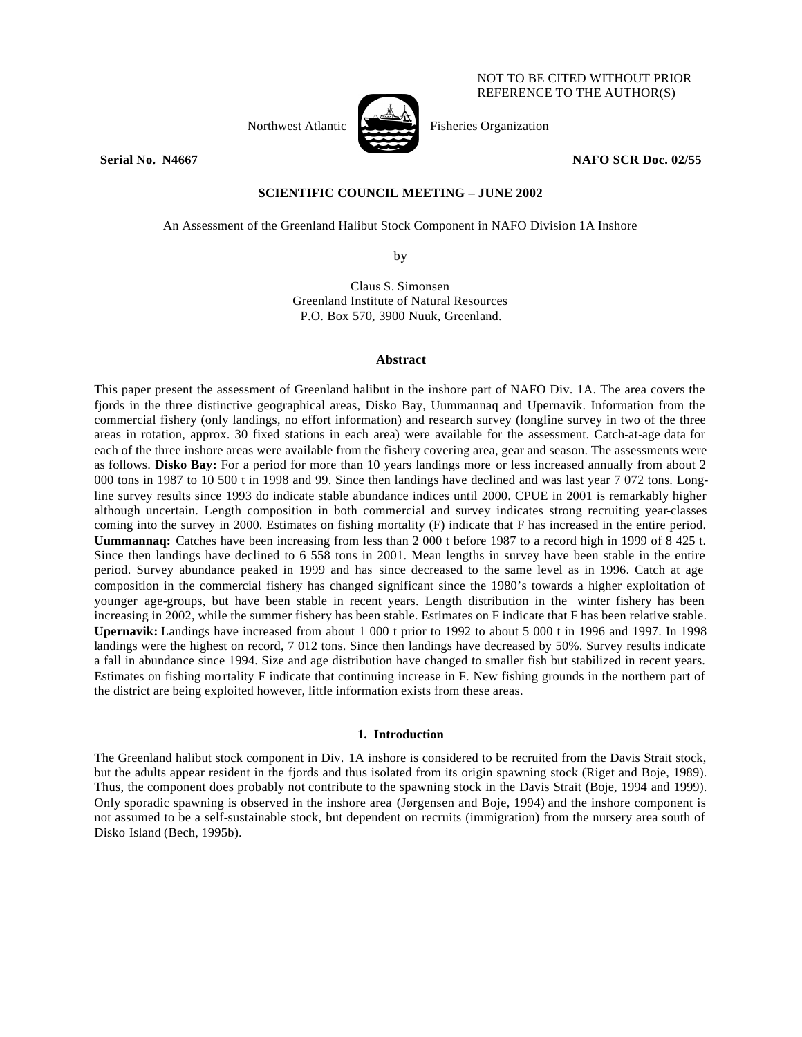### NOT TO BE CITED WITHOUT PRIOR REFERENCE TO THE AUTHOR(S)

Northwest Atlantic Fisheries Organization



**Serial No. 14667 NAFO SCR Doc. 02/55** 

# **SCIENTIFIC COUNCIL MEETING – JUNE 2002**

An Assessment of the Greenland Halibut Stock Component in NAFO Division 1A Inshore

by

Claus S. Simonsen Greenland Institute of Natural Resources P.O. Box 570, 3900 Nuuk, Greenland.

### **Abstract**

This paper present the assessment of Greenland halibut in the inshore part of NAFO Div. 1A. The area covers the fjords in the three distinctive geographical areas, Disko Bay, Uummannaq and Upernavik. Information from the commercial fishery (only landings, no effort information) and research survey (longline survey in two of the three areas in rotation, approx. 30 fixed stations in each area) were available for the assessment. Catch-at-age data for each of the three inshore areas were available from the fishery covering area, gear and season. The assessments were as follows. **Disko Bay:** For a period for more than 10 years landings more or less increased annually from about 2 000 tons in 1987 to 10 500 t in 1998 and 99. Since then landings have declined and was last year 7 072 tons. Longline survey results since 1993 do indicate stable abundance indices until 2000. CPUE in 2001 is remarkably higher although uncertain. Length composition in both commercial and survey indicates strong recruiting year-classes coming into the survey in 2000. Estimates on fishing mortality (F) indicate that F has increased in the entire period. **Uummannaq:** Catches have been increasing from less than 2 000 t before 1987 to a record high in 1999 of 8 425 t. Since then landings have declined to 6 558 tons in 2001. Mean lengths in survey have been stable in the entire period. Survey abundance peaked in 1999 and has since decreased to the same level as in 1996. Catch at age composition in the commercial fishery has changed significant since the 1980's towards a higher exploitation of younger age-groups, but have been stable in recent years. Length distribution in the winter fishery has been increasing in 2002, while the summer fishery has been stable. Estimates on F indicate that F has been relative stable. **Upernavik:** Landings have increased from about 1 000 t prior to 1992 to about 5 000 t in 1996 and 1997. In 1998 landings were the highest on record, 7 012 tons. Since then landings have decreased by 50%. Survey results indicate a fall in abundance since 1994. Size and age distribution have changed to smaller fish but stabilized in recent years. Estimates on fishing mo rtality F indicate that continuing increase in F. New fishing grounds in the northern part of the district are being exploited however, little information exists from these areas.

# **1. Introduction**

The Greenland halibut stock component in Div. 1A inshore is considered to be recruited from the Davis Strait stock, but the adults appear resident in the fjords and thus isolated from its origin spawning stock (Riget and Boje, 1989). Thus, the component does probably not contribute to the spawning stock in the Davis Strait (Boje, 1994 and 1999). Only sporadic spawning is observed in the inshore area (Jørgensen and Boje, 1994) and the inshore component is not assumed to be a self-sustainable stock, but dependent on recruits (immigration) from the nursery area south of Disko Island (Bech, 1995b).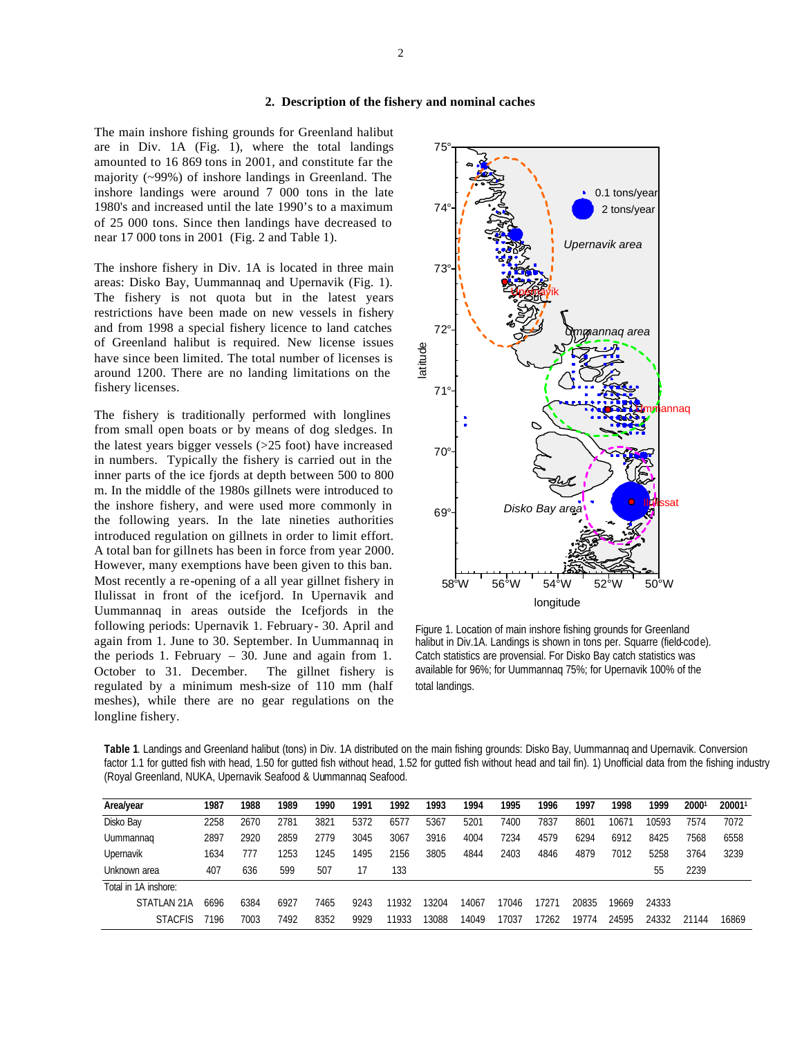# **2. Description of the fishery and nominal caches**

The main inshore fishing grounds for Greenland halibut are in Div. 1A (Fig. 1), where the total landings amounted to 16 869 tons in 2001, and constitute far the majority (~99%) of inshore landings in Greenland. The inshore landings were around 7 000 tons in the late 1980's and increased until the late 1990's to a maximum of 25 000 tons. Since then landings have decreased to near 17 000 tons in 2001 (Fig. 2 and Table 1).

The inshore fishery in Div. 1A is located in three main areas: Disko Bay, Uummannaq and Upernavik (Fig. 1). The fishery is not quota but in the latest years restrictions have been made on new vessels in fishery and from 1998 a special fishery licence to land catches of Greenland halibut is required. New license issues have since been limited. The total number of licenses is around 1200. There are no landing limitations on the fishery licenses.

The fishery is traditionally performed with longlines from small open boats or by means of dog sledges. In the latest years bigger vessels (>25 foot) have increased in numbers. Typically the fishery is carried out in the inner parts of the ice fjords at depth between 500 to 800 m. In the middle of the 1980s gillnets were introduced to the inshore fishery, and were used more commonly in the following years. In the late nineties authorities introduced regulation on gillnets in order to limit effort. A total ban for gillnets has been in force from year 2000. However, many exemptions have been given to this ban. Most recently a re-opening of a all year gillnet fishery in Ilulissat in front of the icefjord. In Upernavik and Uummannaq in areas outside the Icefjords in the following periods: Upernavik 1. February- 30. April and again from 1. June to 30. September. In Uummannaq in the periods 1. February – 30. June and again from 1. October to 31. December. The gillnet fishery is regulated by a minimum mesh-size of 110 mm (half meshes), while there are no gear regulations on the longline fishery.



Figure 1. Location of main inshore fishing grounds for Greenland halibut in Div.1A. Landings is shown in tons per. Squarre (field-code). Catch statistics are provensial. For Disko Bay catch statistics was available for 96%; for Uummannaq 75%; for Upernavik 100% of the total landings.

**Table 1**. Landings and Greenland halibut (tons) in Div. 1A distributed on the main fishing grounds: Disko Bay, Uummannaq and Upernavik. Conversion factor 1.1 for gutted fish with head, 1.50 for gutted fish without head, 1.52 for gutted fish without head and tail fin). 1) Unofficial data from the fishing industry (Royal Greenland, NUKA, Upernavik Seafood & Uummannaq Seafood.

| Area/year            | 1987 | 1988 | 1989 | 1990 | 1991 | 1992  | 1993  | 1994  | 1995  | 1996  | 1997  | 1998  | 1999  | 2000  | 200011 |
|----------------------|------|------|------|------|------|-------|-------|-------|-------|-------|-------|-------|-------|-------|--------|
| Disko Bay            | 2258 | 2670 | 2781 | 3821 | 5372 | 6577  | 5367  | 5201  | 7400  | 7837  | 8601  | 10671 | 10593 | 7574  | 7072   |
| Uummannag            | 2897 | 2920 | 2859 | 2779 | 3045 | 3067  | 3916  | 4004  | 7234  | 4579  | 6294  | 6912  | 8425  | 7568  | 6558   |
| Upernavik            | 1634 | 777  | 253  | 1245 | 1495 | 2156  | 3805  | 4844  | 2403  | 4846  | 4879  | 7012  | 5258  | 3764  | 3239   |
| Unknown area         | 407  | 636  | 599  | 507  | 17   | 133   |       |       |       |       |       |       | 55    | 2239  |        |
| Total in 1A inshore: |      |      |      |      |      |       |       |       |       |       |       |       |       |       |        |
| STATLAN 21A          | 6696 | 6384 | 6927 | 7465 | 9243 | 11932 | 13204 | 14067 | 17046 | 17271 | 20835 | 19669 | 24333 |       |        |
| <b>STACFIS</b>       | 7196 | 7003 | 7492 | 8352 | 9929 | 11933 | 13088 | 14049 | 7037  | 17262 | 19774 | 24595 | 24332 | 21144 | 16869  |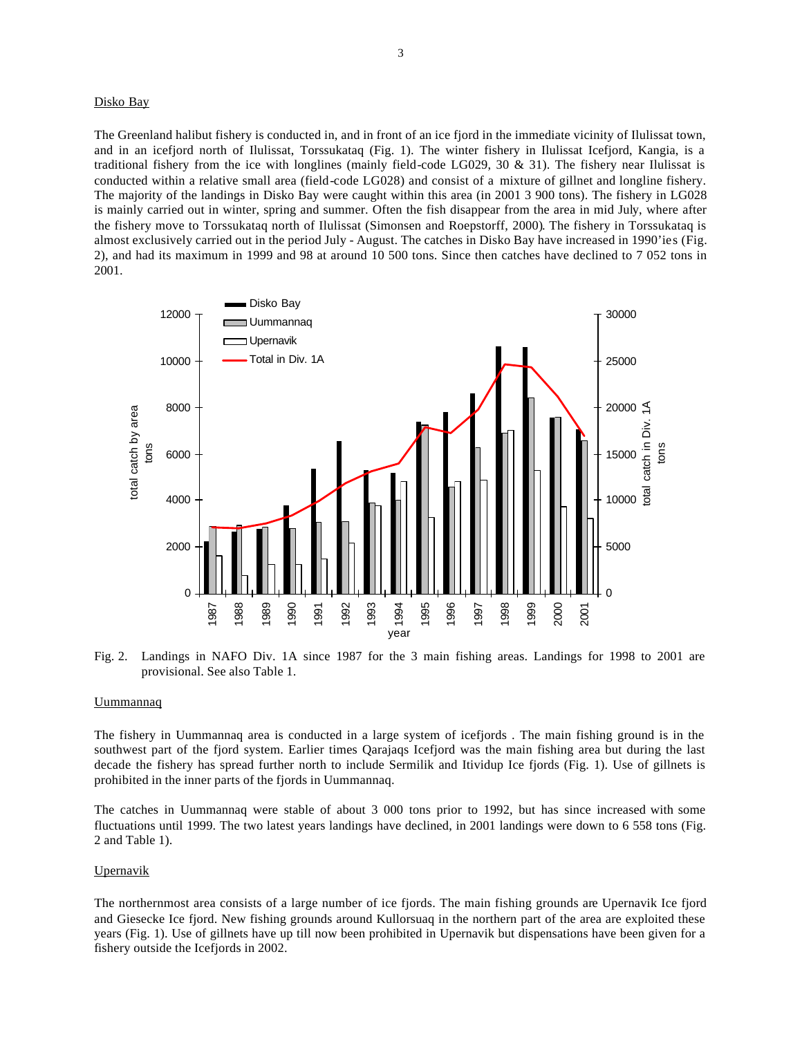#### Disko Bay

The Greenland halibut fishery is conducted in, and in front of an ice fjord in the immediate vicinity of Ilulissat town, and in an icefjord north of Ilulissat, Torssukataq (Fig. 1). The winter fishery in Ilulissat Icefjord, Kangia, is a traditional fishery from the ice with longlines (mainly field-code LG029, 30 & 31). The fishery near Ilulissat is conducted within a relative small area (field-code LG028) and consist of a mixture of gillnet and longline fishery. The majority of the landings in Disko Bay were caught within this area (in 2001 3 900 tons). The fishery in LG028 is mainly carried out in winter, spring and summer. Often the fish disappear from the area in mid July, where after the fishery move to Torssukataq north of Ilulissat (Simonsen and Roepstorff, 2000). The fishery in Torssukataq is almost exclusively carried out in the period July - August. The catches in Disko Bay have increased in 1990'ies (Fig. 2), and had its maximum in 1999 and 98 at around 10 500 tons. Since then catches have declined to 7 052 tons in 2001.



Fig. 2. Landings in NAFO Div. 1A since 1987 for the 3 main fishing areas. Landings for 1998 to 2001 are provisional. See also Table 1.

### Uummannaq

The fishery in Uummannaq area is conducted in a large system of icefjords . The main fishing ground is in the southwest part of the fjord system. Earlier times Qarajaqs Icefjord was the main fishing area but during the last decade the fishery has spread further north to include Sermilik and Itividup Ice fjords (Fig. 1). Use of gillnets is prohibited in the inner parts of the fjords in Uummannaq.

The catches in Uummannaq were stable of about 3 000 tons prior to 1992, but has since increased with some fluctuations until 1999. The two latest years landings have declined, in 2001 landings were down to 6 558 tons (Fig. 2 and Table 1).

### Upernavik

The northernmost area consists of a large number of ice fjords. The main fishing grounds are Upernavik Ice fjord and Giesecke Ice fjord. New fishing grounds around Kullorsuaq in the northern part of the area are exploited these years (Fig. 1). Use of gillnets have up till now been prohibited in Upernavik but dispensations have been given for a fishery outside the Icefjords in 2002.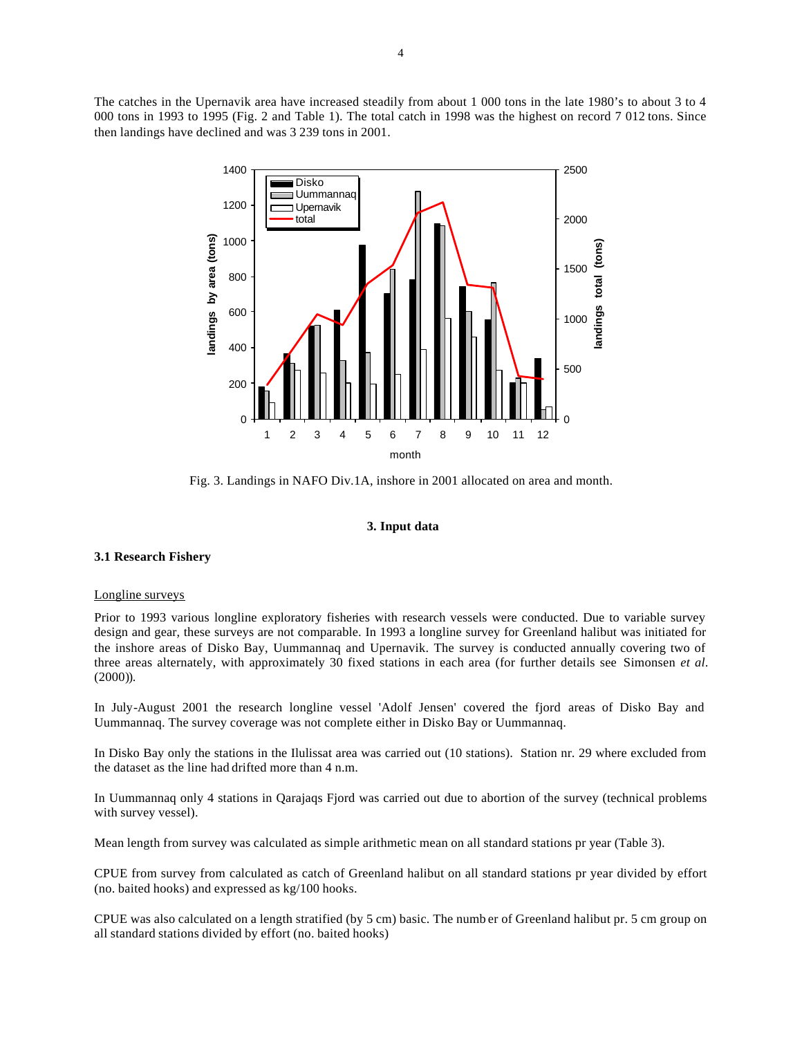The catches in the Upernavik area have increased steadily from about 1 000 tons in the late 1980's to about 3 to 4 000 tons in 1993 to 1995 (Fig. 2 and Table 1). The total catch in 1998 was the highest on record 7 012 tons. Since then landings have declined and was 3 239 tons in 2001.



Fig. 3. Landings in NAFO Div.1A, inshore in 2001 allocated on area and month.

# **3. Input data**

# **3.1 Research Fishery**

#### Longline surveys

Prior to 1993 various longline exploratory fisheries with research vessels were conducted. Due to variable survey design and gear, these surveys are not comparable. In 1993 a longline survey for Greenland halibut was initiated for the inshore areas of Disko Bay, Uummannaq and Upernavik. The survey is conducted annually covering two of three areas alternately, with approximately 30 fixed stations in each area (for further details see Simonsen *et al*. (2000)).

In July-August 2001 the research longline vessel 'Adolf Jensen' covered the fjord areas of Disko Bay and Uummannaq. The survey coverage was not complete either in Disko Bay or Uummannaq.

In Disko Bay only the stations in the Ilulissat area was carried out (10 stations). Station nr. 29 where excluded from the dataset as the line had drifted more than 4 n.m.

In Uummannaq only 4 stations in Qarajaqs Fjord was carried out due to abortion of the survey (technical problems with survey vessel).

Mean length from survey was calculated as simple arithmetic mean on all standard stations pr year (Table 3).

CPUE from survey from calculated as catch of Greenland halibut on all standard stations pr year divided by effort (no. baited hooks) and expressed as kg/100 hooks.

CPUE was also calculated on a length stratified (by 5 cm) basic. The numb er of Greenland halibut pr. 5 cm group on all standard stations divided by effort (no. baited hooks)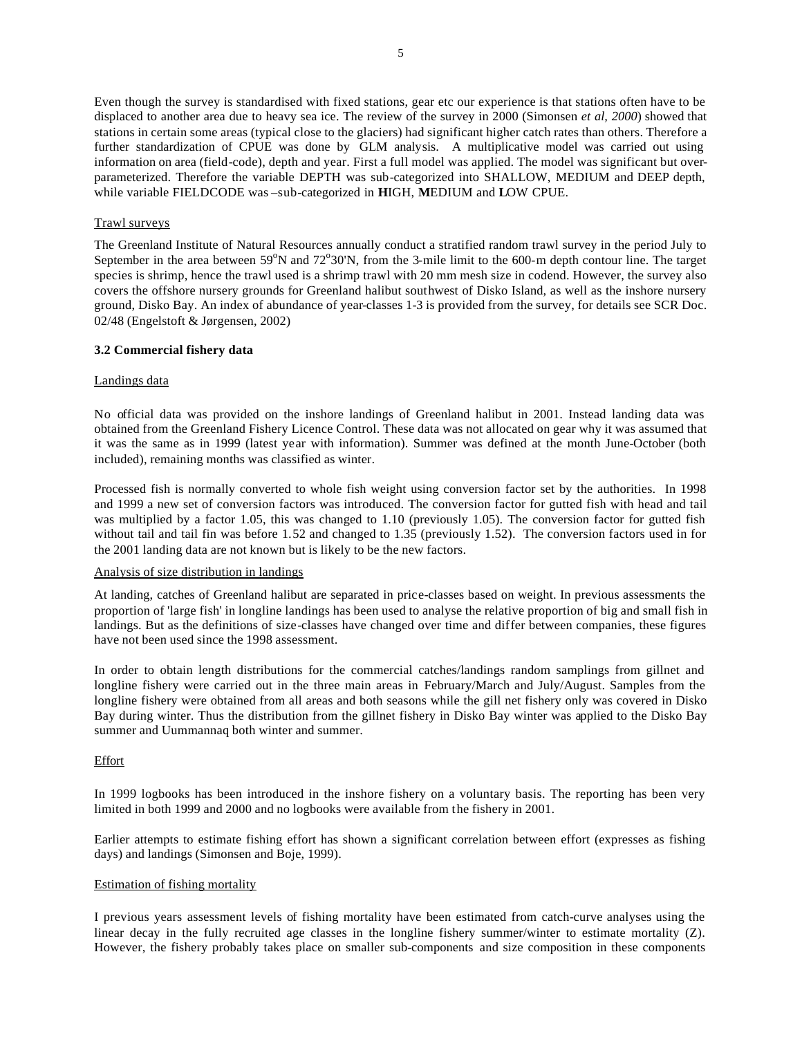Even though the survey is standardised with fixed stations, gear etc our experience is that stations often have to be displaced to another area due to heavy sea ice. The review of the survey in 2000 (Simonsen *et al, 2000*) showed that stations in certain some areas (typical close to the glaciers) had significant higher catch rates than others. Therefore a further standardization of CPUE was done by GLM analysis. A multiplicative model was carried out using information on area (field-code), depth and year. First a full model was applied. The model was significant but overparameterized. Therefore the variable DEPTH was sub-categorized into SHALLOW, MEDIUM and DEEP depth, while variable FIELDCODE was –sub-categorized in **H**IGH, **M**EDIUM and **L**OW CPUE.

### Trawl surveys

The Greenland Institute of Natural Resources annually conduct a stratified random trawl survey in the period July to September in the area between 59°N and 72°30'N, from the 3-mile limit to the 600-m depth contour line. The target species is shrimp, hence the trawl used is a shrimp trawl with 20 mm mesh size in codend. However, the survey also covers the offshore nursery grounds for Greenland halibut southwest of Disko Island, as well as the inshore nursery ground, Disko Bay. An index of abundance of year-classes 1-3 is provided from the survey, for details see SCR Doc. 02/48 (Engelstoft & Jørgensen, 2002)

#### **3.2 Commercial fishery data**

#### Landings data

No official data was provided on the inshore landings of Greenland halibut in 2001. Instead landing data was obtained from the Greenland Fishery Licence Control. These data was not allocated on gear why it was assumed that it was the same as in 1999 (latest year with information). Summer was defined at the month June-October (both included), remaining months was classified as winter.

Processed fish is normally converted to whole fish weight using conversion factor set by the authorities. In 1998 and 1999 a new set of conversion factors was introduced. The conversion factor for gutted fish with head and tail was multiplied by a factor 1.05, this was changed to 1.10 (previously 1.05). The conversion factor for gutted fish without tail and tail fin was before 1.52 and changed to 1.35 (previously 1.52). The conversion factors used in for the 2001 landing data are not known but is likely to be the new factors.

### Analysis of size distribution in landings

At landing, catches of Greenland halibut are separated in price-classes based on weight. In previous assessments the proportion of 'large fish' in longline landings has been used to analyse the relative proportion of big and small fish in landings. But as the definitions of size-classes have changed over time and differ between companies, these figures have not been used since the 1998 assessment.

In order to obtain length distributions for the commercial catches/landings random samplings from gillnet and longline fishery were carried out in the three main areas in February/March and July/August. Samples from the longline fishery were obtained from all areas and both seasons while the gill net fishery only was covered in Disko Bay during winter. Thus the distribution from the gillnet fishery in Disko Bay winter was applied to the Disko Bay summer and Uummannaq both winter and summer.

#### Effort

In 1999 logbooks has been introduced in the inshore fishery on a voluntary basis. The reporting has been very limited in both 1999 and 2000 and no logbooks were available from the fishery in 2001.

Earlier attempts to estimate fishing effort has shown a significant correlation between effort (expresses as fishing days) and landings (Simonsen and Boje, 1999).

# Estimation of fishing mortality

I previous years assessment levels of fishing mortality have been estimated from catch-curve analyses using the linear decay in the fully recruited age classes in the longline fishery summer/winter to estimate mortality (Z). However, the fishery probably takes place on smaller sub-components and size composition in these components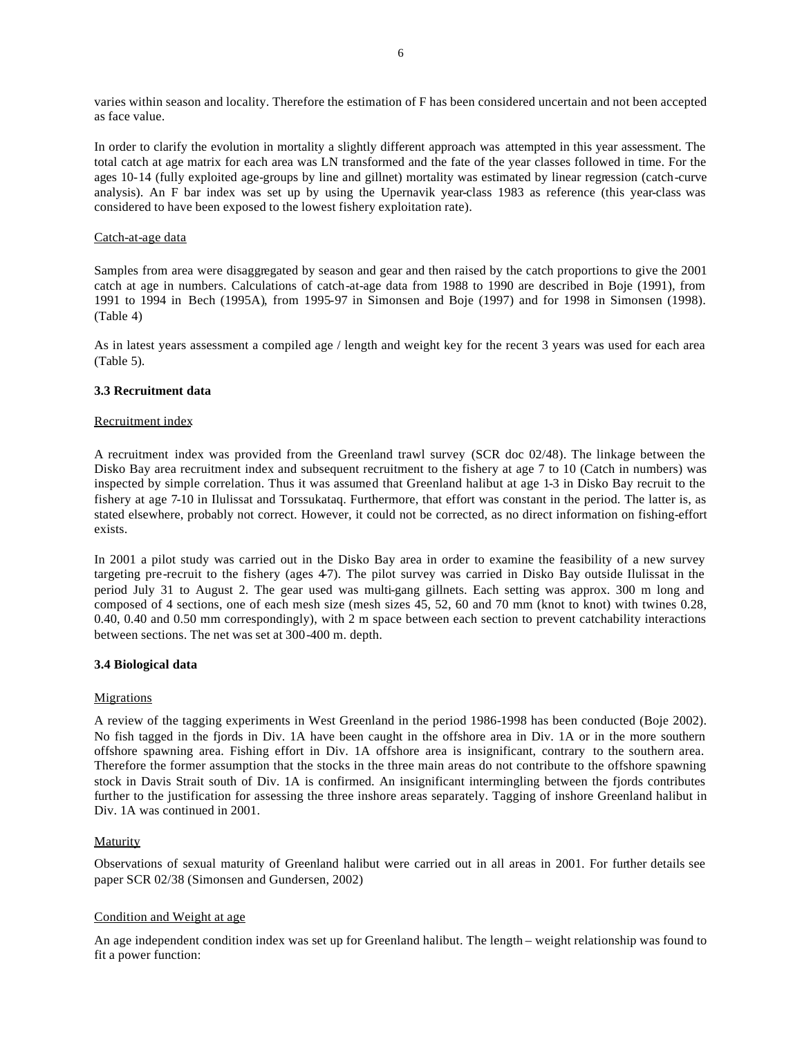varies within season and locality. Therefore the estimation of F has been considered uncertain and not been accepted as face value.

In order to clarify the evolution in mortality a slightly different approach was attempted in this year assessment. The total catch at age matrix for each area was LN transformed and the fate of the year classes followed in time. For the ages 10-14 (fully exploited age-groups by line and gillnet) mortality was estimated by linear regression (catch-curve analysis). An F bar index was set up by using the Upernavik year-class 1983 as reference (this year-class was considered to have been exposed to the lowest fishery exploitation rate).

### Catch-at-age data

Samples from area were disaggregated by season and gear and then raised by the catch proportions to give the 2001 catch at age in numbers. Calculations of catch-at-age data from 1988 to 1990 are described in Boje (1991), from 1991 to 1994 in Bech (1995A), from 1995-97 in Simonsen and Boje (1997) and for 1998 in Simonsen (1998). (Table 4)

As in latest years assessment a compiled age / length and weight key for the recent 3 years was used for each area (Table 5).

# **3.3 Recruitment data**

#### Recruitment index

A recruitment index was provided from the Greenland trawl survey (SCR doc 02/48). The linkage between the Disko Bay area recruitment index and subsequent recruitment to the fishery at age 7 to 10 (Catch in numbers) was inspected by simple correlation. Thus it was assumed that Greenland halibut at age 1-3 in Disko Bay recruit to the fishery at age 7-10 in Ilulissat and Torssukataq. Furthermore, that effort was constant in the period. The latter is, as stated elsewhere, probably not correct. However, it could not be corrected, as no direct information on fishing-effort exists.

In 2001 a pilot study was carried out in the Disko Bay area in order to examine the feasibility of a new survey targeting pre-recruit to the fishery (ages 4-7). The pilot survey was carried in Disko Bay outside Ilulissat in the period July 31 to August 2. The gear used was multi-gang gillnets. Each setting was approx. 300 m long and composed of 4 sections, one of each mesh size (mesh sizes 45, 52, 60 and 70 mm (knot to knot) with twines 0.28, 0.40, 0.40 and 0.50 mm correspondingly), with 2 m space between each section to prevent catchability interactions between sections. The net was set at 300-400 m. depth.

# **3.4 Biological data**

# Migrations

A review of the tagging experiments in West Greenland in the period 1986-1998 has been conducted (Boje 2002). No fish tagged in the fjords in Div. 1A have been caught in the offshore area in Div. 1A or in the more southern offshore spawning area. Fishing effort in Div. 1A offshore area is insignificant, contrary to the southern area. Therefore the former assumption that the stocks in the three main areas do not contribute to the offshore spawning stock in Davis Strait south of Div. 1A is confirmed. An insignificant intermingling between the fjords contributes further to the justification for assessing the three inshore areas separately. Tagging of inshore Greenland halibut in Div. 1A was continued in 2001.

# Maturity

Observations of sexual maturity of Greenland halibut were carried out in all areas in 2001. For further details see paper SCR 02/38 (Simonsen and Gundersen, 2002)

#### Condition and Weight at age

An age independent condition index was set up for Greenland halibut. The length – weight relationship was found to fit a power function: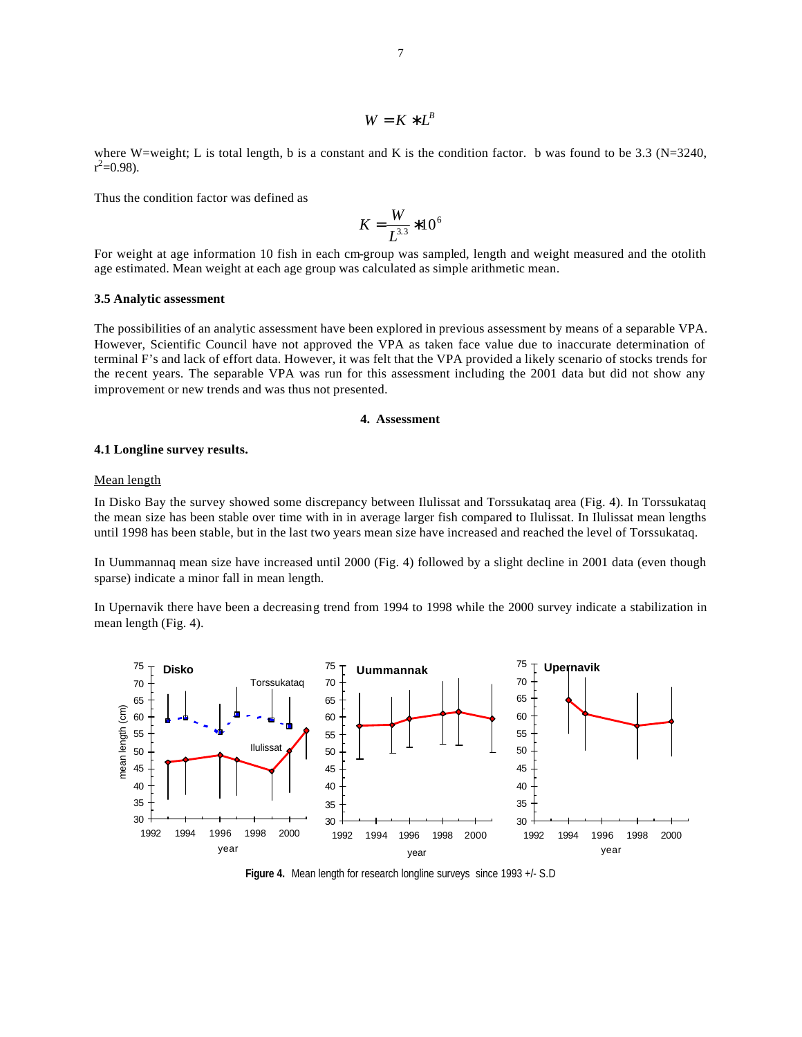$$
W=K*L^B
$$

where W=weight; L is total length, b is a constant and K is the condition factor. b was found to be  $3.3$  (N=3240,  $r^2$ =0.98).

Thus the condition factor was defined as

$$
K = \frac{W}{L^{3.3}} * 10^6
$$

For weight at age information 10 fish in each cm-group was sampled, length and weight measured and the otolith age estimated. Mean weight at each age group was calculated as simple arithmetic mean.

#### **3.5 Analytic assessment**

The possibilities of an analytic assessment have been explored in previous assessment by means of a separable VPA. However, Scientific Council have not approved the VPA as taken face value due to inaccurate determination of terminal F's and lack of effort data. However, it was felt that the VPA provided a likely scenario of stocks trends for the recent years. The separable VPA was run for this assessment including the 2001 data but did not show any improvement or new trends and was thus not presented.

# **4. Assessment**

#### **4.1 Longline survey results.**

#### Mean length

In Disko Bay the survey showed some discrepancy between Ilulissat and Torssukataq area (Fig. 4). In Torssukataq the mean size has been stable over time with in in average larger fish compared to Ilulissat. In Ilulissat mean lengths until 1998 has been stable, but in the last two years mean size have increased and reached the level of Torssukataq.

In Uummannaq mean size have increased until 2000 (Fig. 4) followed by a slight decline in 2001 data (even though sparse) indicate a minor fall in mean length.

In Upernavik there have been a decreasing trend from 1994 to 1998 while the 2000 survey indicate a stabilization in mean length (Fig. 4).



**Figure 4.** Mean length for research longline surveys since 1993 +/- S.D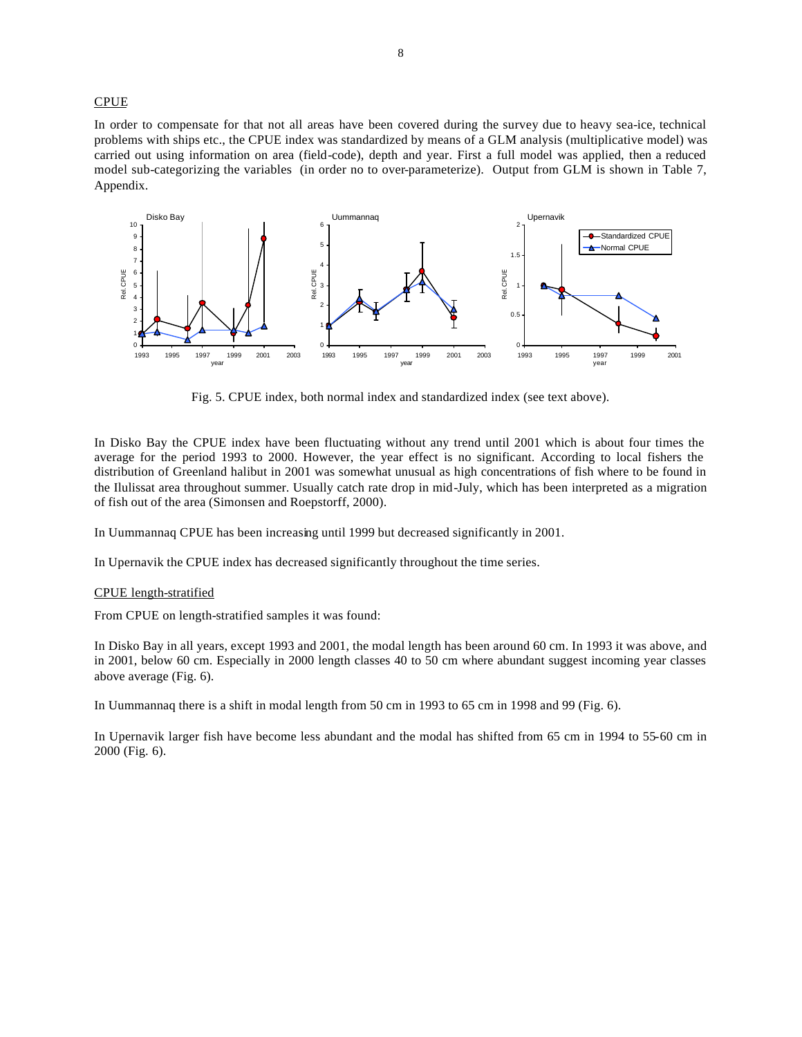# **CPUE**

In order to compensate for that not all areas have been covered during the survey due to heavy sea-ice, technical problems with ships etc., the CPUE index was standardized by means of a GLM analysis (multiplicative model) was carried out using information on area (field-code), depth and year. First a full model was applied, then a reduced model sub-categorizing the variables (in order no to over-parameterize). Output from GLM is shown in Table 7, Appendix.



Fig. 5. CPUE index, both normal index and standardized index (see text above).

In Disko Bay the CPUE index have been fluctuating without any trend until 2001 which is about four times the average for the period 1993 to 2000. However, the year effect is no significant. According to local fishers the distribution of Greenland halibut in 2001 was somewhat unusual as high concentrations of fish where to be found in the Ilulissat area throughout summer. Usually catch rate drop in mid-July, which has been interpreted as a migration of fish out of the area (Simonsen and Roepstorff, 2000).

In Uummannaq CPUE has been increasing until 1999 but decreased significantly in 2001.

In Upernavik the CPUE index has decreased significantly throughout the time series.

#### CPUE length-stratified

From CPUE on length-stratified samples it was found:

In Disko Bay in all years, except 1993 and 2001, the modal length has been around 60 cm. In 1993 it was above, and in 2001, below 60 cm. Especially in 2000 length classes 40 to 50 cm where abundant suggest incoming year classes above average (Fig. 6).

In Uummannaq there is a shift in modal length from 50 cm in 1993 to 65 cm in 1998 and 99 (Fig. 6).

In Upernavik larger fish have become less abundant and the modal has shifted from 65 cm in 1994 to 55-60 cm in 2000 (Fig. 6).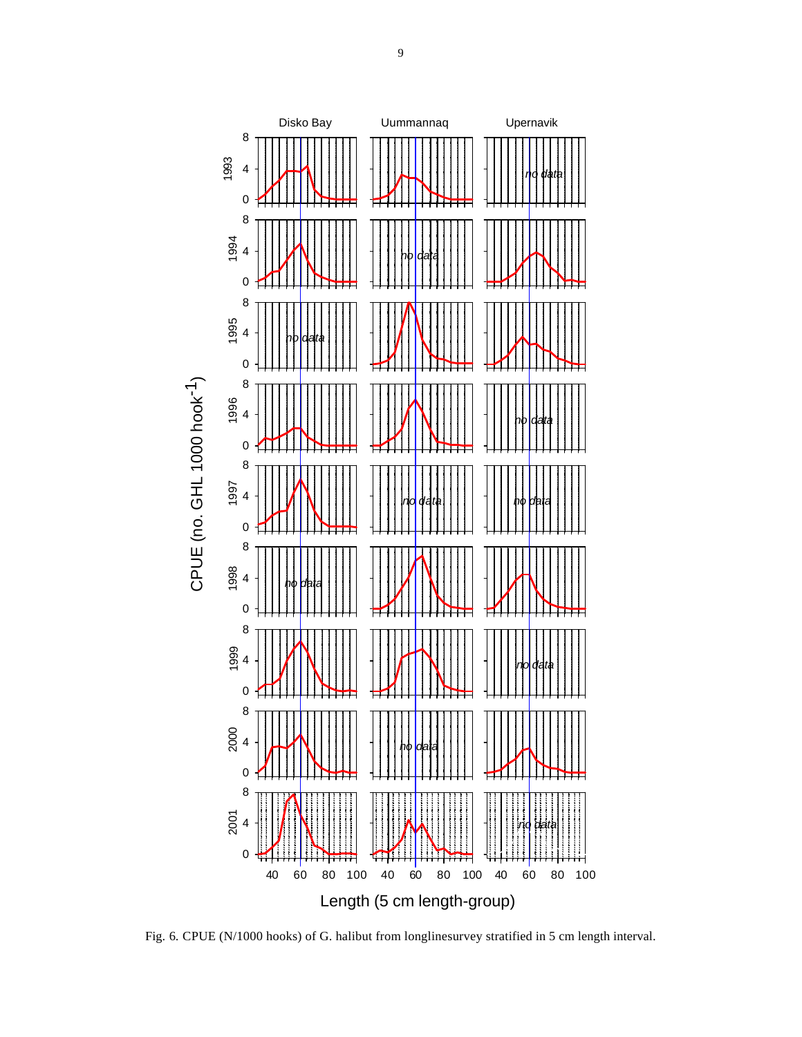

Fig. 6. CPUE (N/1000 hooks) of G. halibut from longlinesurvey stratified in 5 cm length interval.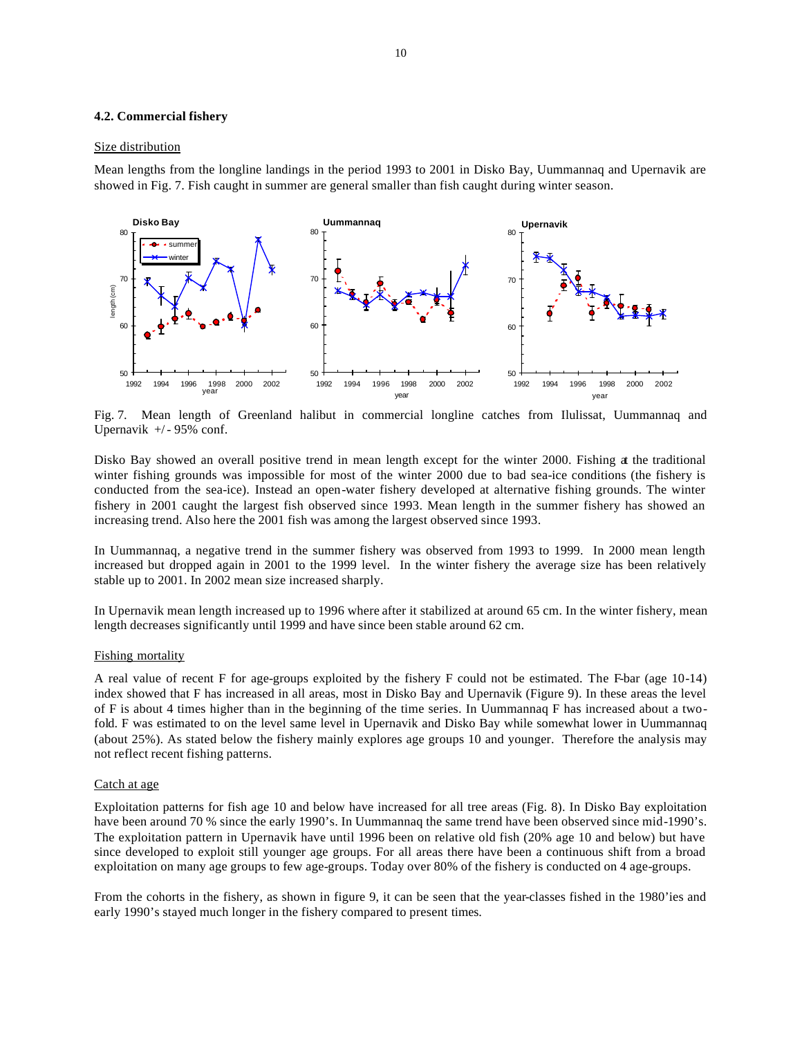### **4.2. Commercial fishery**

#### Size distribution



Mean lengths from the longline landings in the period 1993 to 2001 in Disko Bay, Uummannaq and Upernavik are showed in Fig. 7. Fish caught in summer are general smaller than fish caught during winter season.

Fig. 7. Mean length of Greenland halibut in commercial longline catches from Ilulissat, Uummannaq and Upernavik +/- 95% conf.

Disko Bay showed an overall positive trend in mean length except for the winter 2000. Fishing at the traditional winter fishing grounds was impossible for most of the winter 2000 due to bad sea-ice conditions (the fishery is conducted from the sea-ice). Instead an open-water fishery developed at alternative fishing grounds. The winter fishery in 2001 caught the largest fish observed since 1993. Mean length in the summer fishery has showed an increasing trend. Also here the 2001 fish was among the largest observed since 1993.

In Uummannaq, a negative trend in the summer fishery was observed from 1993 to 1999. In 2000 mean length increased but dropped again in 2001 to the 1999 level. In the winter fishery the average size has been relatively stable up to 2001. In 2002 mean size increased sharply.

In Upernavik mean length increased up to 1996 where after it stabilized at around 65 cm. In the winter fishery, mean length decreases significantly until 1999 and have since been stable around 62 cm.

#### Fishing mortality

A real value of recent F for age-groups exploited by the fishery F could not be estimated. The F-bar (age 10-14) index showed that F has increased in all areas, most in Disko Bay and Upernavik (Figure 9). In these areas the level of F is about 4 times higher than in the beginning of the time series. In Uummannaq F has increased about a twofold. F was estimated to on the level same level in Upernavik and Disko Bay while somewhat lower in Uummannaq (about 25%). As stated below the fishery mainly explores age groups 10 and younger. Therefore the analysis may not reflect recent fishing patterns.

### Catch at age

Exploitation patterns for fish age 10 and below have increased for all tree areas (Fig. 8). In Disko Bay exploitation have been around 70 % since the early 1990's. In Uummannaq the same trend have been observed since mid-1990's. The exploitation pattern in Upernavik have until 1996 been on relative old fish (20% age 10 and below) but have since developed to exploit still younger age groups. For all areas there have been a continuous shift from a broad exploitation on many age groups to few age-groups. Today over 80% of the fishery is conducted on 4 age-groups.

From the cohorts in the fishery, as shown in figure 9, it can be seen that the year-classes fished in the 1980'ies and early 1990's stayed much longer in the fishery compared to present times.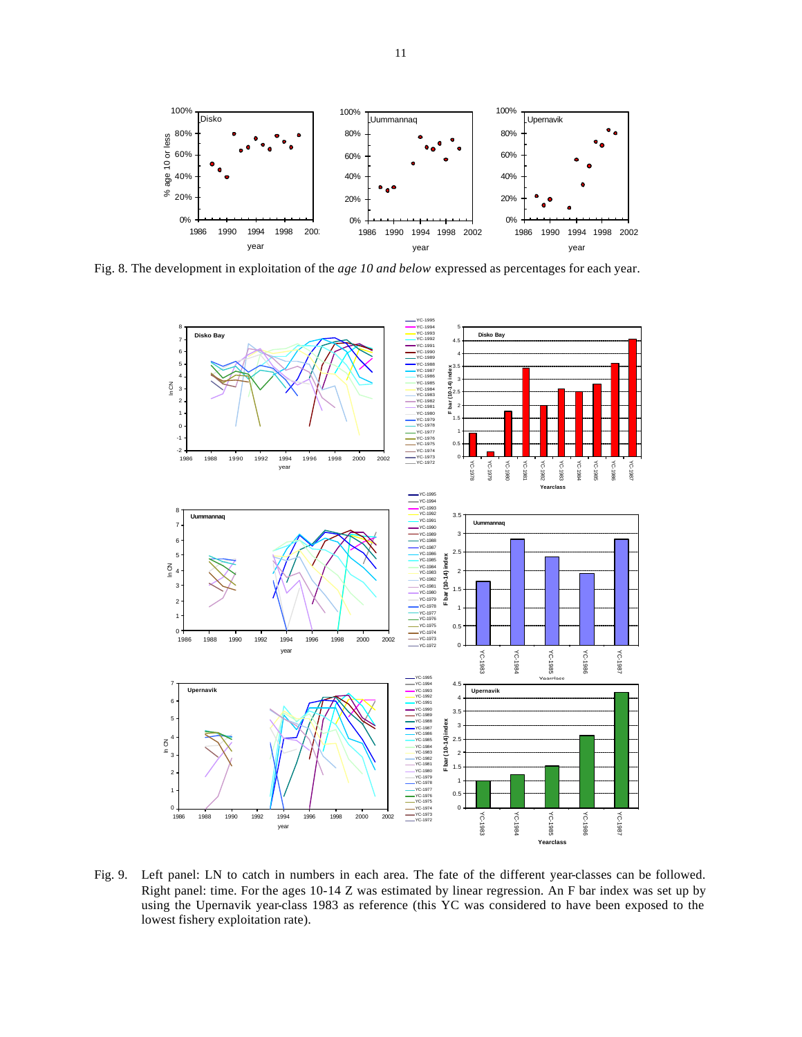

Fig. 8. The development in exploitation of the *age 10 and below* expressed as percentages for each year.



Fig. 9. Left panel: LN to catch in numbers in each area. The fate of the different year-classes can be followed. Right panel: time. For the ages 10-14 Z was estimated by linear regression. An F bar index was set up by using the Upernavik year-class 1983 as reference (this YC was considered to have been exposed to the lowest fishery exploitation rate).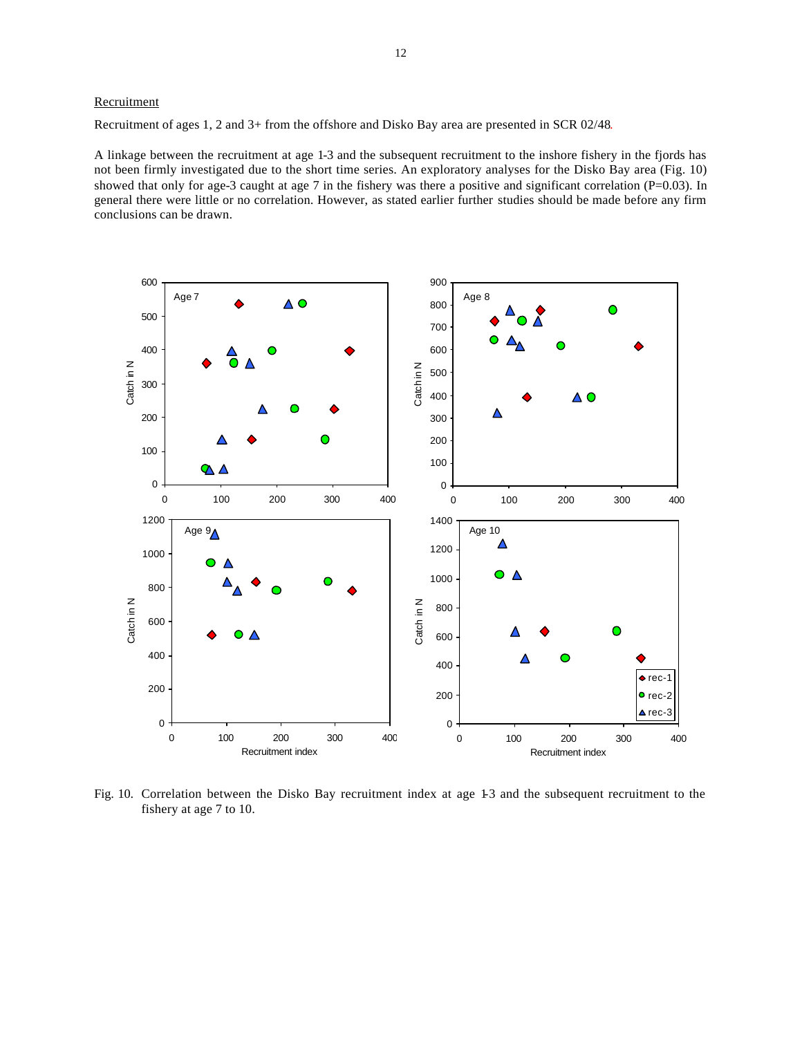# **Recruitment**

Recruitment of ages 1, 2 and 3+ from the offshore and Disko Bay area are presented in SCR 02/48.

A linkage between the recruitment at age 1-3 and the subsequent recruitment to the inshore fishery in the fjords has not been firmly investigated due to the short time series. An exploratory analyses for the Disko Bay area (Fig. 10) showed that only for age-3 caught at age 7 in the fishery was there a positive and significant correlation ( $P=0.03$ ). In general there were little or no correlation. However, as stated earlier further studies should be made before any firm conclusions can be drawn.



Fig. 10. Correlation between the Disko Bay recruitment index at age 1-3 and the subsequent recruitment to the fishery at age 7 to 10.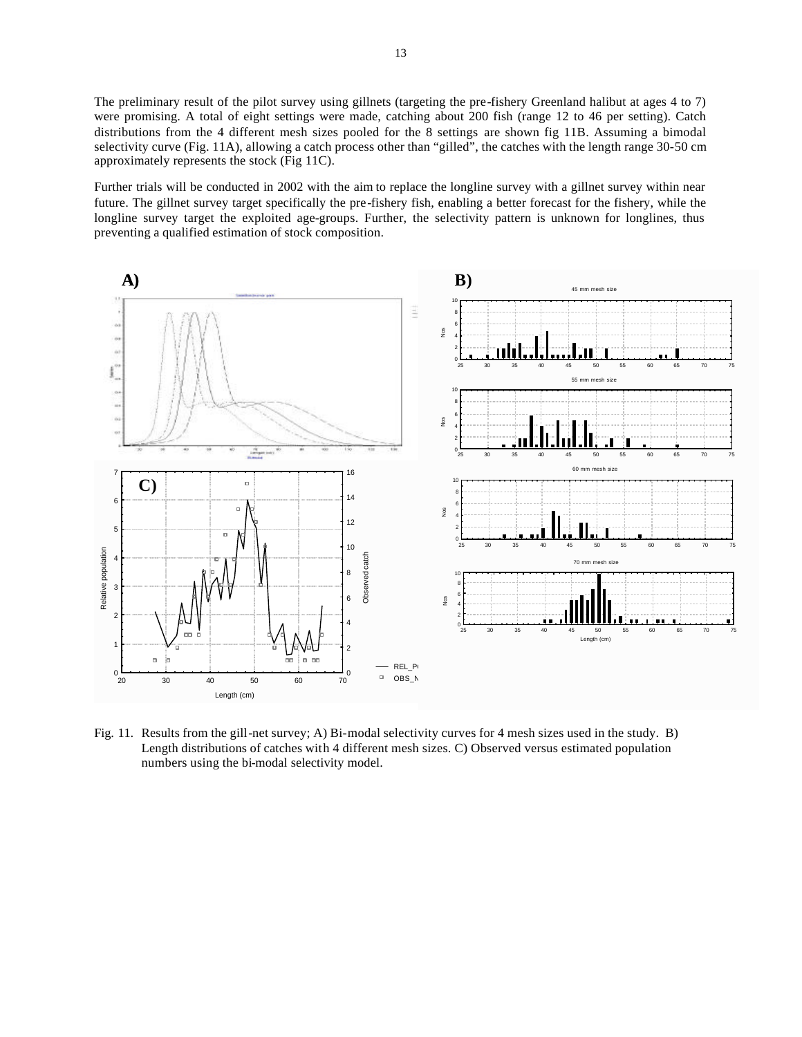The preliminary result of the pilot survey using gillnets (targeting the pre-fishery Greenland halibut at ages 4 to 7) were promising. A total of eight settings were made, catching about 200 fish (range 12 to 46 per setting). Catch distributions from the 4 different mesh sizes pooled for the 8 settings are shown fig 11B. Assuming a bimodal selectivity curve (Fig. 11A), allowing a catch process other than "gilled", the catches with the length range 30-50 cm approximately represents the stock (Fig 11C).

Further trials will be conducted in 2002 with the aim to replace the longline survey with a gillnet survey within near future. The gillnet survey target specifically the pre-fishery fish, enabling a better forecast for the fishery, while the longline survey target the exploited age-groups. Further, the selectivity pattern is unknown for longlines, thus preventing a qualified estimation of stock composition.



Fig. 11. Results from the gill-net survey; A) Bi-modal selectivity curves for 4 mesh sizes used in the study. B) Length distributions of catches with 4 different mesh sizes. C) Observed versus estimated population numbers using the bi-modal selectivity model.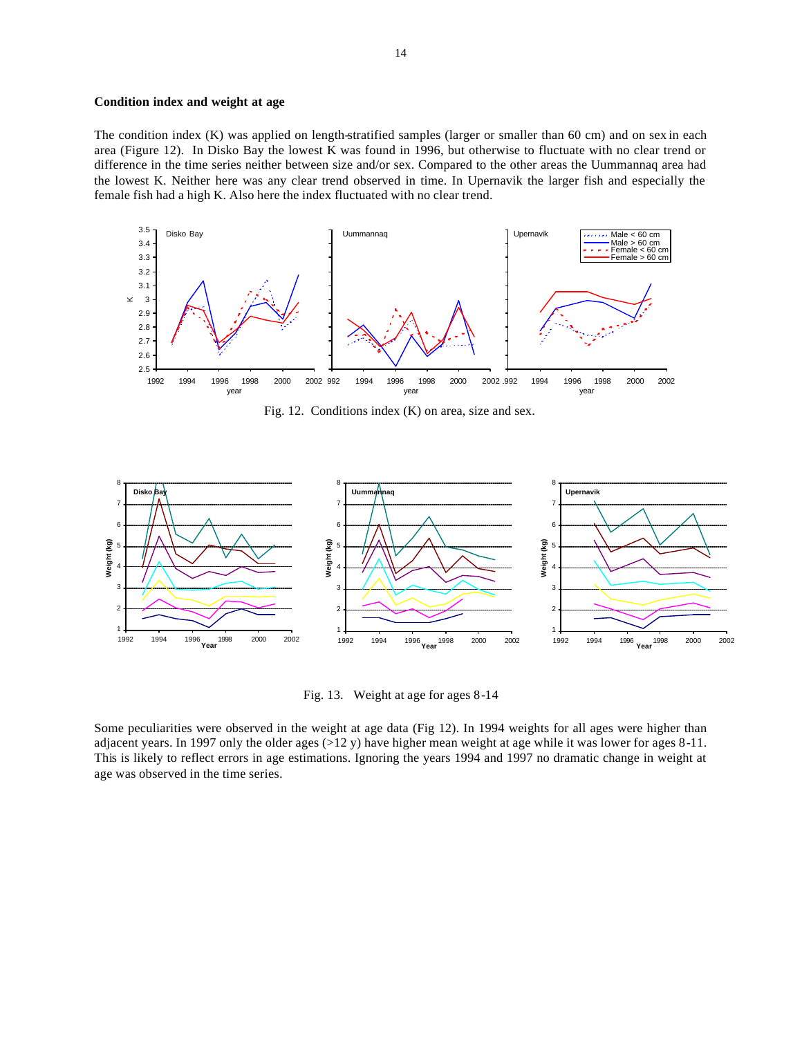#### **Condition index and weight at age**

The condition index (K) was applied on length-stratified samples (larger or smaller than 60 cm) and on sex in each area (Figure 12). In Disko Bay the lowest K was found in 1996, but otherwise to fluctuate with no clear trend or difference in the time series neither between size and/or sex. Compared to the other areas the Uummannaq area had the lowest K. Neither here was any clear trend observed in time. In Upernavik the larger fish and especially the female fish had a high K. Also here the index fluctuated with no clear trend.



Fig. 12. Conditions index (K) on area, size and sex.



Fig. 13. Weight at age for ages 8-14

Some peculiarities were observed in the weight at age data (Fig 12). In 1994 weights for all ages were higher than adjacent years. In 1997 only the older ages  $(>12 \text{ y})$  have higher mean weight at age while it was lower for ages 8-11. This is likely to reflect errors in age estimations. Ignoring the years 1994 and 1997 no dramatic change in weight at age was observed in the time series.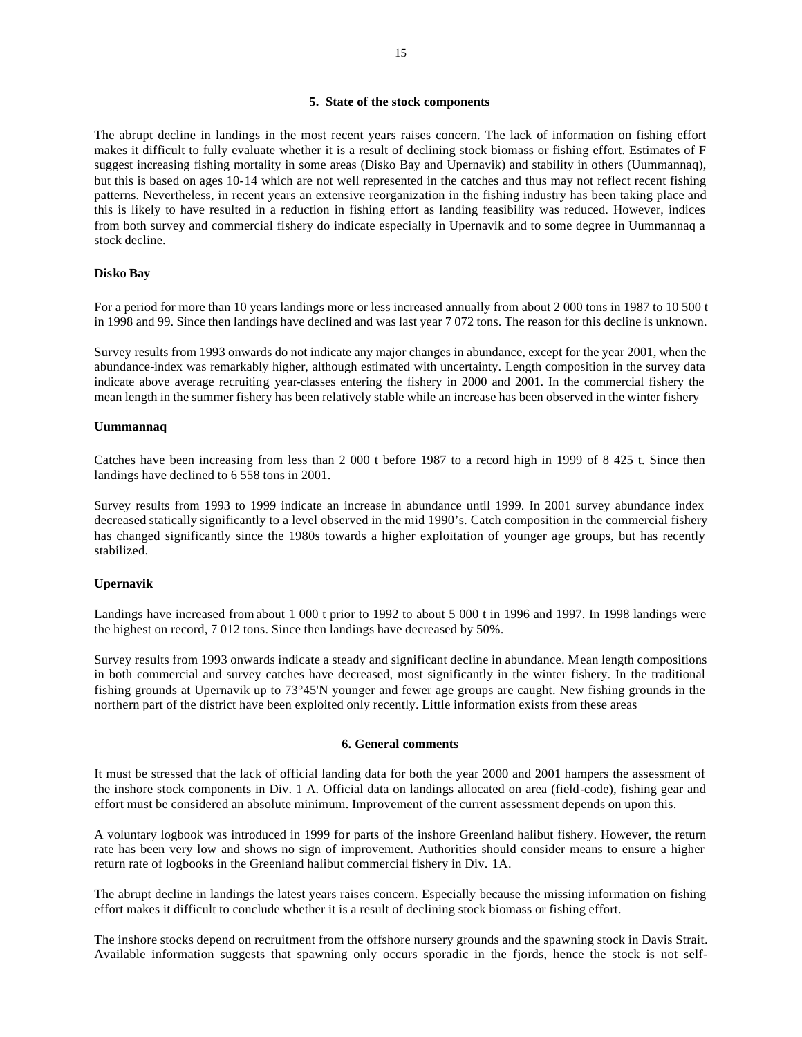#### **5. State of the stock components**

The abrupt decline in landings in the most recent years raises concern. The lack of information on fishing effort makes it difficult to fully evaluate whether it is a result of declining stock biomass or fishing effort. Estimates of F suggest increasing fishing mortality in some areas (Disko Bay and Upernavik) and stability in others (Uummannaq), but this is based on ages 10-14 which are not well represented in the catches and thus may not reflect recent fishing patterns. Nevertheless, in recent years an extensive reorganization in the fishing industry has been taking place and this is likely to have resulted in a reduction in fishing effort as landing feasibility was reduced. However, indices from both survey and commercial fishery do indicate especially in Upernavik and to some degree in Uummannaq a stock decline.

# **Disko Bay**

For a period for more than 10 years landings more or less increased annually from about 2 000 tons in 1987 to 10 500 t in 1998 and 99. Since then landings have declined and was last year 7 072 tons. The reason for this decline is unknown.

Survey results from 1993 onwards do not indicate any major changes in abundance, except for the year 2001, when the abundance-index was remarkably higher, although estimated with uncertainty. Length composition in the survey data indicate above average recruiting year-classes entering the fishery in 2000 and 2001. In the commercial fishery the mean length in the summer fishery has been relatively stable while an increase has been observed in the winter fishery

#### **Uummannaq**

Catches have been increasing from less than 2 000 t before 1987 to a record high in 1999 of 8 425 t. Since then landings have declined to 6 558 tons in 2001.

Survey results from 1993 to 1999 indicate an increase in abundance until 1999. In 2001 survey abundance index decreased statically significantly to a level observed in the mid 1990's. Catch composition in the commercial fishery has changed significantly since the 1980s towards a higher exploitation of younger age groups, but has recently stabilized.

#### **Upernavik**

Landings have increased from about 1 000 t prior to 1992 to about 5 000 t in 1996 and 1997. In 1998 landings were the highest on record, 7 012 tons. Since then landings have decreased by 50%.

Survey results from 1993 onwards indicate a steady and significant decline in abundance. Mean length compositions in both commercial and survey catches have decreased, most significantly in the winter fishery. In the traditional fishing grounds at Upernavik up to 73°45'N younger and fewer age groups are caught. New fishing grounds in the northern part of the district have been exploited only recently. Little information exists from these areas

#### **6. General comments**

It must be stressed that the lack of official landing data for both the year 2000 and 2001 hampers the assessment of the inshore stock components in Div. 1 A. Official data on landings allocated on area (field-code), fishing gear and effort must be considered an absolute minimum. Improvement of the current assessment depends on upon this.

A voluntary logbook was introduced in 1999 for parts of the inshore Greenland halibut fishery. However, the return rate has been very low and shows no sign of improvement. Authorities should consider means to ensure a higher return rate of logbooks in the Greenland halibut commercial fishery in Div. 1A.

The abrupt decline in landings the latest years raises concern. Especially because the missing information on fishing effort makes it difficult to conclude whether it is a result of declining stock biomass or fishing effort.

The inshore stocks depend on recruitment from the offshore nursery grounds and the spawning stock in Davis Strait. Available information suggests that spawning only occurs sporadic in the fjords, hence the stock is not self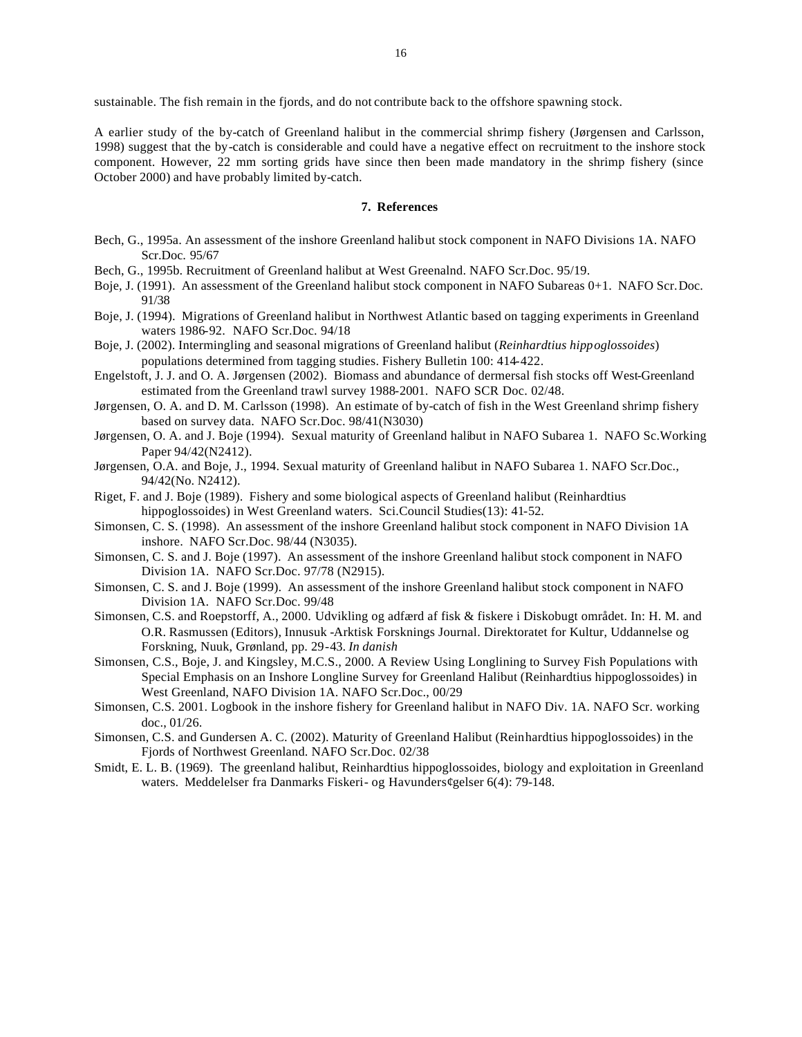sustainable. The fish remain in the fjords, and do not contribute back to the offshore spawning stock.

A earlier study of the by-catch of Greenland halibut in the commercial shrimp fishery (Jørgensen and Carlsson, 1998) suggest that the by-catch is considerable and could have a negative effect on recruitment to the inshore stock component. However, 22 mm sorting grids have since then been made mandatory in the shrimp fishery (since October 2000) and have probably limited by-catch.

#### **7. References**

- Bech, G., 1995a. An assessment of the inshore Greenland halibut stock component in NAFO Divisions 1A. NAFO Scr.Doc. 95/67
- Bech, G., 1995b. Recruitment of Greenland halibut at West Greenalnd. NAFO Scr.Doc. 95/19.
- Boje, J. (1991). An assessment of the Greenland halibut stock component in NAFO Subareas 0+1. NAFO Scr.Doc. 91/38
- Boje, J. (1994). Migrations of Greenland halibut in Northwest Atlantic based on tagging experiments in Greenland waters 1986-92. NAFO Scr.Doc. 94/18
- Boje, J. (2002). Intermingling and seasonal migrations of Greenland halibut (*Reinhardtius hippoglossoides*) populations determined from tagging studies. Fishery Bulletin 100: 414-422.
- Engelstoft, J. J. and O. A. Jørgensen (2002). Biomass and abundance of dermersal fish stocks off West-Greenland estimated from the Greenland trawl survey 1988-2001. NAFO SCR Doc. 02/48.
- Jørgensen, O. A. and D. M. Carlsson (1998). An estimate of by-catch of fish in the West Greenland shrimp fishery based on survey data. NAFO Scr.Doc. 98/41(N3030)
- Jørgensen, O. A. and J. Boje (1994). Sexual maturity of Greenland halibut in NAFO Subarea 1. NAFO Sc.Working Paper 94/42(N2412).
- Jørgensen, O.A. and Boje, J., 1994. Sexual maturity of Greenland halibut in NAFO Subarea 1. NAFO Scr.Doc., 94/42(No. N2412).
- Riget, F. and J. Boje (1989). Fishery and some biological aspects of Greenland halibut (Reinhardtius hippoglossoides) in West Greenland waters. Sci.Council Studies(13): 41-52.
- Simonsen, C. S. (1998). An assessment of the inshore Greenland halibut stock component in NAFO Division 1A inshore. NAFO Scr.Doc. 98/44 (N3035).
- Simonsen, C. S. and J. Boje (1997). An assessment of the inshore Greenland halibut stock component in NAFO Division 1A. NAFO Scr.Doc. 97/78 (N2915).
- Simonsen, C. S. and J. Boje (1999). An assessment of the inshore Greenland halibut stock component in NAFO Division 1A. NAFO Scr.Doc. 99/48
- Simonsen, C.S. and Roepstorff, A., 2000. Udvikling og adfærd af fisk & fiskere i Diskobugt området. In: H. M. and O.R. Rasmussen (Editors), Innusuk -Arktisk Forsknings Journal. Direktoratet for Kultur, Uddannelse og Forskning, Nuuk, Grønland, pp. 29-43. *In danish*
- Simonsen, C.S., Boje, J. and Kingsley, M.C.S., 2000. A Review Using Longlining to Survey Fish Populations with Special Emphasis on an Inshore Longline Survey for Greenland Halibut (Reinhardtius hippoglossoides) in West Greenland, NAFO Division 1A. NAFO Scr.Doc., 00/29
- Simonsen, C.S. 2001. Logbook in the inshore fishery for Greenland halibut in NAFO Div. 1A. NAFO Scr. working doc., 01/26.
- Simonsen, C.S. and Gundersen A. C. (2002). Maturity of Greenland Halibut (Reinhardtius hippoglossoides) in the Fjords of Northwest Greenland. NAFO Scr.Doc. 02/38
- Smidt, E. L. B. (1969). The greenland halibut, Reinhardtius hippoglossoides, biology and exploitation in Greenland waters. Meddelelser fra Danmarks Fiskeri- og Havunders¢gelser 6(4): 79-148.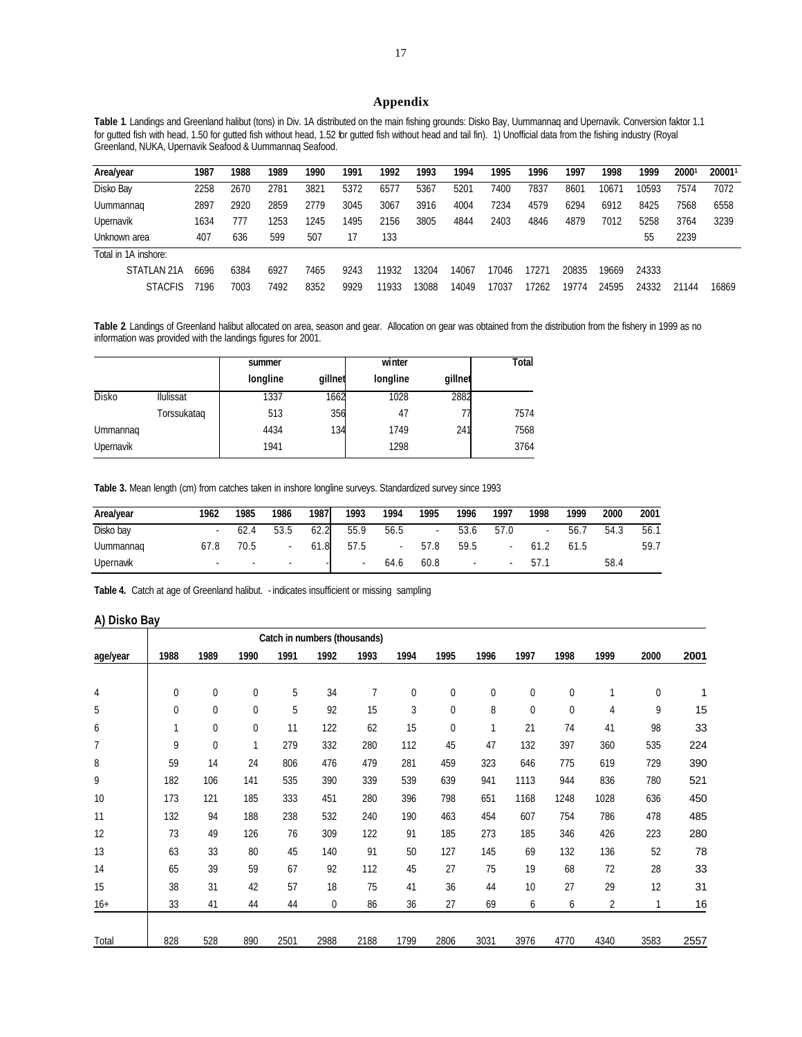# **Appendix**

**Table 1**. Landings and Greenland halibut (tons) in Div. 1A distributed on the main fishing grounds: Disko Bay, Uummannaq and Upernavik. Conversion faktor 1.1 for gutted fish with head, 1.50 for gutted fish without head, 1.52 for gutted fish without head and tail fin). 1) Unofficial data from the fishing industry (Royal Greenland, NUKA, Upernavik Seafood & Uummannaq Seafood.

| Area/year            | 1987 | 1988 | 1989 | 1990 | 1991 | 1992  | 1993 | 1994  | 1995  | 1996  | 1997  | 1998  | 1999  | 20001 | 200011 |
|----------------------|------|------|------|------|------|-------|------|-------|-------|-------|-------|-------|-------|-------|--------|
| Disko Bay            | 2258 | 2670 | 2781 | 3821 | 5372 | 6577  | 5367 | 5201  | 7400  | 7837  | 8601  | 1067  | 10593 | 7574  | 7072   |
| Uummannaq            | 2897 | 2920 | 2859 | 2779 | 3045 | 3067  | 3916 | 4004  | 7234  | 4579  | 6294  | 6912  | 8425  | 7568  | 6558   |
| Upernavik            | 1634 | 777  | 253  | 1245 | 1495 | 2156  | 3805 | 4844  | 2403  | 4846  | 4879  | 7012  | 5258  | 3764  | 3239   |
| Unknown area         | 407  | 636  | 599  | 507  | 17   | 133   |      |       |       |       |       |       | 55    | 2239  |        |
| Total in 1A inshore: |      |      |      |      |      |       |      |       |       |       |       |       |       |       |        |
| STATI AN 21A         | 6696 | 6384 | 6927 | 7465 | 9243 | 11932 | 3204 | 14067 | 17046 | 17271 | 20835 | 19669 | 24333 |       |        |
| <b>STACFIS</b>       | 1196 | 7003 | 7492 | 8352 | 9929 | 11933 | 3088 | 14049 | 7037  | 7262  | 19774 | 24595 | 24332 | 21144 | 16869  |

Table 2. Landings of Greenland halibut allocated on area, season and gear. Allocation on gear was obtained from the distribution from the fishery in 1999 as no information was provided with the landings figures for 2001.

|           |                  | summer   |         | winter   |         | Total |
|-----------|------------------|----------|---------|----------|---------|-------|
|           |                  | longline | gillnet | longline | gillnet |       |
| Disko     | <b>Ilulissat</b> | 1337     | 1662    | 1028     | 2882    |       |
|           | Torssukatag      | 513      | 356     | 47       |         | 7574  |
| Ummannag  |                  | 4434     | 134     | 1749     | 241     | 7568  |
| Upernavik |                  | 1941     |         | 1298     |         | 3764  |

**Table 3.** Mean length (cm) from catches taken in inshore longline surveys. Standardized survey since 1993

| Area/year | 1962                     | 1985   | 1986 | 1987 | 1993                     | 1994                     | 1995   | 1996 | 1997   | 1998 | 1999 | 2000 | 2001 |
|-----------|--------------------------|--------|------|------|--------------------------|--------------------------|--------|------|--------|------|------|------|------|
| Disko bay | $\overline{\phantom{a}}$ | 62.4   | 53.5 | 62.2 | 55.9                     | 56.5                     | $\sim$ | 53.6 | 57.0   | -    | 56.7 | 54.3 | 56.1 |
| Uummannag | 67.8                     | 70.5   |      | 61.8 | 57.5                     | $\overline{\phantom{a}}$ | 57.8   | 59.5 |        | 61.2 | 61.5 |      | 59.7 |
| Upernavik | $\sim$                   | $\sim$ | -    |      | $\overline{\phantom{a}}$ | 64.6                     | 60.8   | -    | $\sim$ | 57   |      | 58.4 |      |

**Table 4.** Catch at age of Greenland halibut. - indicates insufficient or missing sampling

# **A) Disko Bay**

|                |              |                  |             |      | Catch in numbers (thousands) |                |              |             |             |                |             |              |              |      |
|----------------|--------------|------------------|-------------|------|------------------------------|----------------|--------------|-------------|-------------|----------------|-------------|--------------|--------------|------|
| age/year       | 1988         | 1989             | 1990        | 1991 | 1992                         | 1993           | 1994         | 1995        | 1996        | 1997           | 1998        | 1999         | 2000         | 2001 |
|                |              |                  |             |      |                              |                |              |             |             |                |             |              |              |      |
| $\overline{4}$ | 0            | $\mathbf 0$      | $\mathbf 0$ | 5    | 34                           | $\overline{1}$ | $\mathbf{0}$ | 0           | $\mathbf 0$ | $\mathbf{0}$   | $\mathbf 0$ | $\mathbf{1}$ | $\mathbf{0}$ |      |
| 5              | $\mathbf 0$  | $\mathbf 0$      | $\mathbf 0$ | 5    | 92                           | 15             | 3            | 0           | 8           | $\overline{0}$ | $\mathbf 0$ | 4            | 9            | 15   |
| 6              | $\mathbf{1}$ | 0                | $\mathbf 0$ | 11   | 122                          | 62             | 15           | $\mathbf 0$ | 1           | 21             | 74          | 41           | 98           | 33   |
| $\overline{7}$ | 9            | $\boldsymbol{0}$ | 1           | 279  | 332                          | 280            | 112          | 45          | 47          | 132            | 397         | 360          | 535          | 224  |
| 8              | 59           | 14               | 24          | 806  | 476                          | 479            | 281          | 459         | 323         | 646            | 775         | 619          | 729          | 390  |
| 9              | 182          | 106              | 141         | 535  | 390                          | 339            | 539          | 639         | 941         | 1113           | 944         | 836          | 780          | 521  |
| 10             | 173          | 121              | 185         | 333  | 451                          | 280            | 396          | 798         | 651         | 1168           | 1248        | 1028         | 636          | 450  |
| 11             | 132          | 94               | 188         | 238  | 532                          | 240            | 190          | 463         | 454         | 607            | 754         | 786          | 478          | 485  |
| 12             | 73           | 49               | 126         | 76   | 309                          | 122            | 91           | 185         | 273         | 185            | 346         | 426          | 223          | 280  |
| 13             | 63           | 33               | 80          | 45   | 140                          | 91             | 50           | 127         | 145         | 69             | 132         | 136          | 52           | 78   |
| 14             | 65           | 39               | 59          | 67   | 92                           | 112            | 45           | 27          | 75          | 19             | 68          | 72           | 28           | 33   |
| 15             | 38           | 31               | 42          | 57   | 18                           | 75             | 41           | 36          | 44          | 10             | 27          | 29           | 12           | 31   |
| $16+$          | 33           | 41               | 44          | 44   | $\mathbf 0$                  | 86             | 36           | 27          | 69          | 6              | 6           | 2            | 1            | 16   |
| Total          | 828          | 528              | 890         | 2501 | 2988                         | 2188           | 1799         | 2806        | 3031        | 3976           | 4770        | 4340         | 3583         | 2557 |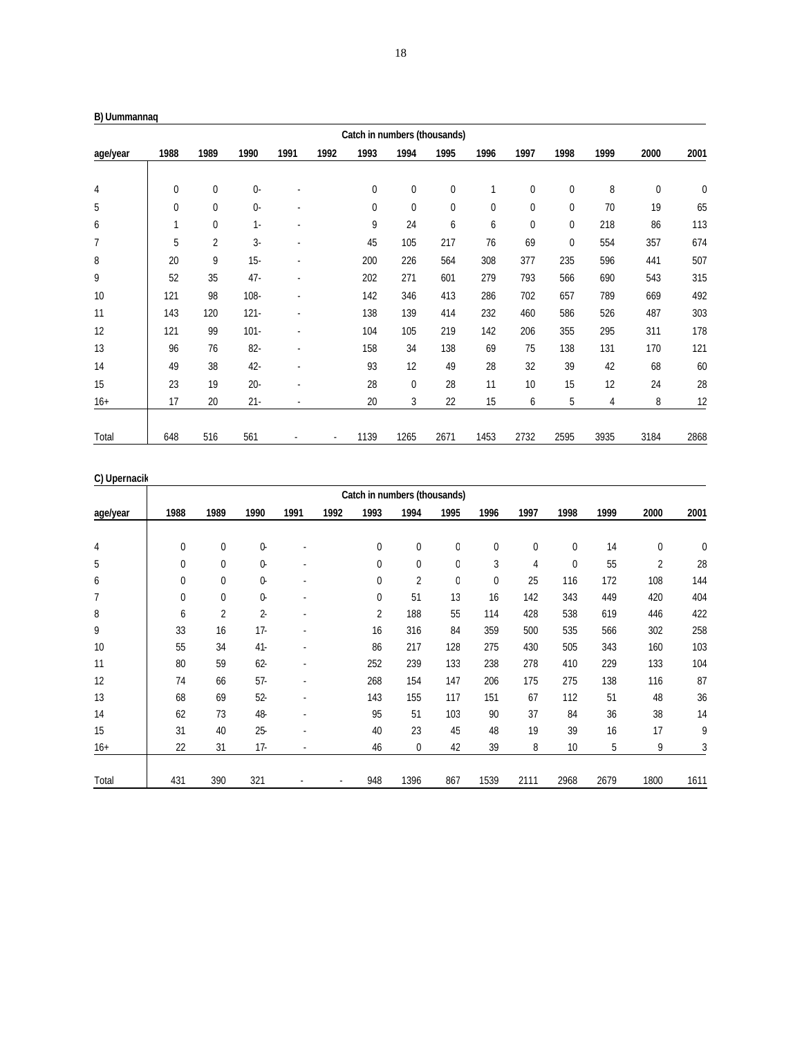|  | B) Uummannaq |
|--|--------------|
|--|--------------|

|                |      |                  |         |      |        |      |             | Catch in numbers (thousands) |             |              |             |      |      |             |
|----------------|------|------------------|---------|------|--------|------|-------------|------------------------------|-------------|--------------|-------------|------|------|-------------|
| age/year       | 1988 | 1989             | 1990    | 1991 | 1992   | 1993 | 1994        | 1995                         | 1996        | 1997         | 1998        | 1999 | 2000 | 2001        |
|                |      |                  |         |      |        |      |             |                              |             |              |             |      |      |             |
| $\overline{4}$ | 0    | $\boldsymbol{0}$ | $0-$    |      |        | 0    | $\mathbf 0$ | $\mathbf 0$                  |             | $\mathbf 0$  | 0           | 8    | 0    | $\mathbf 0$ |
| $\mathbf 5$    | 0    | $\boldsymbol{0}$ | $0-$    |      |        | 0    | $\mathbf 0$ | 0                            | $\mathbf 0$ | $\mathbf 0$  | 0           | 70   | 19   | 65          |
| 6              | 1    | 0                | $1 -$   |      |        | 9    | 24          | 6                            | 6           | $\mathbf{0}$ | $\mathbf 0$ | 218  | 86   | 113         |
| $\overline{7}$ | 5    | 2                | $3 -$   |      |        | 45   | 105         | 217                          | 76          | 69           | $\mathbf 0$ | 554  | 357  | 674         |
| 8              | 20   | 9                | $15 -$  |      |        | 200  | 226         | 564                          | 308         | 377          | 235         | 596  | 441  | 507         |
| 9              | 52   | 35               | $47 -$  |      |        | 202  | 271         | 601                          | 279         | 793          | 566         | 690  | 543  | 315         |
| 10             | 121  | 98               | 108-    |      |        | 142  | 346         | 413                          | 286         | 702          | 657         | 789  | 669  | 492         |
| 11             | 143  | 120              | $121 -$ |      |        | 138  | 139         | 414                          | 232         | 460          | 586         | 526  | 487  | 303         |
| 12             | 121  | 99               | $101 -$ |      |        | 104  | 105         | 219                          | 142         | 206          | 355         | 295  | 311  | 178         |
| 13             | 96   | 76               | $82 -$  |      |        | 158  | 34          | 138                          | 69          | 75           | 138         | 131  | 170  | 121         |
| 14             | 49   | 38               | $42 -$  |      |        | 93   | 12          | 49                           | 28          | 32           | 39          | 42   | 68   | 60          |
| 15             | 23   | 19               | $20 -$  |      |        | 28   | $\mathbf 0$ | 28                           | 11          | 10           | 15          | 12   | 24   | 28          |
| $16+$          | 17   | 20               | $21 -$  |      |        | 20   | 3           | 22                           | 15          | 6            | 5           | 4    | 8    | 12          |
| Total          | 648  | 516              | 561     |      | $\sim$ | 1139 | 1265        | 2671                         | 1453        | 2732         | 2595        | 3935 | 3184 | 2868        |

# **C) Upernacik**

|                |              |                |        |      |      |                | Catch in numbers (thousands) |             |             |             |             |      |                |              |
|----------------|--------------|----------------|--------|------|------|----------------|------------------------------|-------------|-------------|-------------|-------------|------|----------------|--------------|
| age/year       | 1988         | 1989           | 1990   | 1991 | 1992 | 1993           | 1994                         | 1995        | 1996        | 1997        | 1998        | 1999 | 2000           | 2001         |
|                |              |                |        |      |      |                |                              |             |             |             |             |      |                |              |
| 4              | $\mathbf{0}$ | $\mathbf{0}$   | 0-     |      |      | $\mathbf{0}$   | $\mathbf 0$                  | $\mathbf 0$ | $\mathbf 0$ | $\mathbf 0$ | $\mathbf 0$ | 14   | $\mathbf 0$    | $\mathbf{0}$ |
| 5              | $\mathbf 0$  | $\mathbf{0}$   | $0-$   |      |      | $\mathbf 0$    | $\mathbf 0$                  | O           | 3           | 4           | $\mathbf 0$ | 55   | $\overline{2}$ | 28           |
| 6              | $\mathbf 0$  | $\mathbf 0$    | $0-$   |      |      | $\mathbf 0$    | $\overline{2}$               | O           | $\mathbf 0$ | 25          | 116         | 172  | 108            | 144          |
| $\overline{1}$ | $\mathbf 0$  | $\mathbf 0$    | 0-     |      |      | $\mathbf 0$    | 51                           | 13          | 16          | 142         | 343         | 449  | 420            | 404          |
| 8              | 6            | $\overline{2}$ | $2-$   |      |      | $\overline{2}$ | 188                          | 55          | 114         | 428         | 538         | 619  | 446            | 422          |
| 9              | 33           | 16             | $17 -$ |      |      | 16             | 316                          | 84          | 359         | 500         | 535         | 566  | 302            | 258          |
| 10             | 55           | 34             | 41-    |      |      | 86             | 217                          | 128         | 275         | 430         | 505         | 343  | 160            | 103          |
| 11             | 80           | 59             | 62-    |      |      | 252            | 239                          | 133         | 238         | 278         | 410         | 229  | 133            | 104          |
| 12             | 74           | 66             | $57 -$ |      |      | 268            | 154                          | 147         | 206         | 175         | 275         | 138  | 116            | 87           |
| 13             | 68           | 69             | 52-    |      |      | 143            | 155                          | 117         | 151         | 67          | 112         | 51   | 48             | 36           |
| 14             | 62           | 73             | 48-    |      |      | 95             | 51                           | 103         | 90          | 37          | 84          | 36   | 38             | 14           |
| 15             | 31           | 40             | 25-    |      |      | 40             | 23                           | 45          | 48          | 19          | 39          | 16   | 17             | 9            |
| $16+$          | 22           | 31             | $17 -$ |      |      | 46             | $\mathbf 0$                  | 42          | 39          | 8           | 10          | 5    | g              | 3            |
| Total          | 431          | 390            | 321    |      |      | 948            | 1396                         | 867         | 1539        | 2111        | 2968        | 2679 | 1800           | 1611         |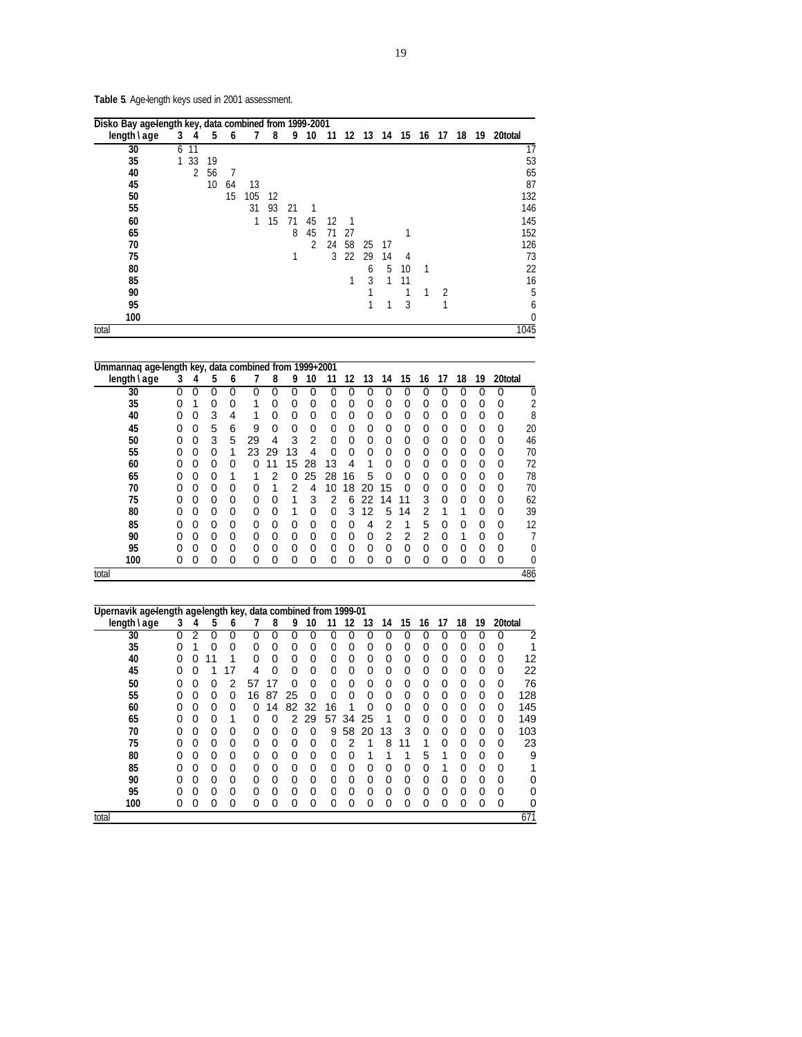**Table 5**. Age-length keys used in 2001 assessment.

| Disko Bay agelength key, data combined from 1999-2001 |   |                |    |    |     |    |    |    |    |    |             |    |    |   |                |    |    |         |
|-------------------------------------------------------|---|----------------|----|----|-----|----|----|----|----|----|-------------|----|----|---|----------------|----|----|---------|
| length \ age                                          | 3 | 4              | 5  | 6  |     | 8  | 9  | 10 | 11 |    | 12 13 14 15 |    |    |   | 16 17          | 18 | 19 | 20total |
| 30                                                    | 6 | 11             |    |    |     |    |    |    |    |    |             |    |    |   |                |    |    | 17      |
| 35                                                    |   | 33             | 19 |    |     |    |    |    |    |    |             |    |    |   |                |    |    | 53      |
| 40                                                    |   | $\overline{2}$ | 56 | 7  |     |    |    |    |    |    |             |    |    |   |                |    |    | 65      |
| 45                                                    |   |                | 10 | 64 | 13  |    |    |    |    |    |             |    |    |   |                |    |    | 87      |
| 50                                                    |   |                |    | 15 | 105 | 12 |    |    |    |    |             |    |    |   |                |    |    | 132     |
| 55                                                    |   |                |    |    | 31  | 93 | 21 |    |    |    |             |    |    |   |                |    |    | 146     |
| 60                                                    |   |                |    |    |     | 15 | 71 | 45 | 12 |    |             |    |    |   |                |    |    | 145     |
| 65                                                    |   |                |    |    |     |    | 8  | 45 | 71 | 27 |             |    |    |   |                |    |    | 152     |
| 70                                                    |   |                |    |    |     |    |    | 2  | 24 | 58 | 25          | 17 |    |   |                |    |    | 126     |
| 75                                                    |   |                |    |    |     |    |    |    | 3  | 22 | 29          | 14 | 4  |   |                |    |    | 73      |
| 80                                                    |   |                |    |    |     |    |    |    |    |    | 6           | 5  | 10 | 1 |                |    |    | 22      |
| 85                                                    |   |                |    |    |     |    |    |    |    |    | 3           |    | 11 |   |                |    |    | 16      |
| 90                                                    |   |                |    |    |     |    |    |    |    |    |             |    |    |   | $\mathfrak{D}$ |    |    | 5       |
| 95                                                    |   |                |    |    |     |    |    |    |    |    |             |    | 3  |   |                |    |    | 6       |
| 100                                                   |   |                |    |    |     |    |    |    |    |    |             |    |    |   |                |    |    |         |
| total                                                 |   |                |    |    |     |    |    |    |    |    |             |    |    |   |                |    |    | 1045    |

| Ummannaq age-length key, data combined from 1999+2001 |   |          |          |   |    |          |          |    |    |          |          |          |          |    |    |          |          |         |     |
|-------------------------------------------------------|---|----------|----------|---|----|----------|----------|----|----|----------|----------|----------|----------|----|----|----------|----------|---------|-----|
| $length \setminus age$                                | 3 | 4        | 5        | 6 |    | 8        | 9        | 10 | 11 | 12       | 13       | 14       | 15       | 16 | 17 | 18       | 19       | 20total |     |
| 30                                                    | 0 | 0        | $\Omega$ | 0 | 0  | 0        | 0        | 0  | 0  | 0        | 0        | 0        | $\Omega$ | 0  | 0  | $\Omega$ | $\Omega$ | 0       | 0   |
| 35                                                    | O |          | $\Omega$ | 0 | 1  | 0        | 0        | 0  | 0  | 0        | 0        | 0        | 0        | 0  | 0  | 0        | 0        | 0       |     |
| 40                                                    | 0 | 0        | 3        | 4 | 1  | 0        | $\Omega$ | 0  | 0  | 0        | 0        | 0        | 0        | 0  | 0  | 0        | $\Omega$ | 0       | 8   |
| 45                                                    | 0 | $\Omega$ | 5        | 6 | 9  | 0        | 0        | 0  | 0  | 0        | 0        | 0        | 0        | 0  | 0  | 0        | 0        | 0       | 20  |
| 50                                                    | 0 | $\Omega$ | 3        | 5 | 29 | 4        | 3        | 2  | 0  | $\Omega$ | 0        | $\Omega$ | 0        | 0  | 0  | $\Omega$ | 0        | 0       | 46  |
| 55                                                    | 0 | 0        | $\Omega$ | 1 | 23 | 29       | 13       | 4  | 0  | $\Omega$ | $\Omega$ | 0        | 0        | 0  | 0  | $\Omega$ | 0        | 0       | 70  |
| 60                                                    | 0 | 0        | $\Omega$ | 0 | 0  | 1        | 5        | 28 | 13 | 4        | 1        | $\Omega$ | $\Omega$ | 0  | 0  | $\Omega$ | $\Omega$ | 0       | 72  |
| 65                                                    | 0 | 0        | 0        | 1 | 1  | 2        | O        | 25 | 28 | 16       | 5        | $\Omega$ | $\Omega$ | 0  | 0  | $\Omega$ | $\Omega$ | 0       | 78  |
| 70                                                    | 0 | 0        | 0        | 0 | 0  | 1        | 2        | 4  | 10 | 8        | 20       | 15       | O        | 0  | 0  | $\Omega$ | 0        | 0       | 70  |
| 75                                                    | 0 | $\Omega$ | $\Omega$ | 0 | 0  | 0        |          | 3  | 2  | 6        |          | 4        |          | 3  | 0  | $\Omega$ | 0        | 0       | 62  |
| 80                                                    | 0 | $\Omega$ | 0        | 0 | 0  | $\Omega$ |          | 0  | 0  | 3        | 12       | 5        | 14       | 2  |    |          | $\Omega$ | 0       | 39  |
| 85                                                    | 0 | $\Omega$ | 0        | 0 | 0  | 0        | 0        | 0  | 0  | $\Omega$ | 4        | 2        |          | 5  | 0  | 0        | 0        | 0       | 12  |
| 90                                                    | 0 | 0        | 0        | 0 | 0  | 0        | 0        | 0  | 0  | 0        | 0        | 2        | 2        | 2  | 0  | 1        | 0        | 0       |     |
| 95                                                    | 0 | $\Omega$ | 0        | 0 | 0  | 0        | $\Omega$ | 0  | 0  | 0        | 0        | $\Omega$ | $\Omega$ | 0  | 0  | 0        | 0        | 0       |     |
| 100                                                   | 0 | 0        | $\Omega$ | 0 | 0  | 0        | 0        | 0  | 0  | 0        | $\Omega$ | 0        | $\Omega$ | 0  | 0  | 0        | 0        | 0       |     |
| total                                                 |   |          |          |   |    |          |          |    |    |          |          |          |          |    |    |          |          |         | 486 |

| Upernavik age-length age-length key, data combined from 1999-01 |   |   |   |    |    |          |    |    |    |    |          |          |    |    |          |    |    |          |     |
|-----------------------------------------------------------------|---|---|---|----|----|----------|----|----|----|----|----------|----------|----|----|----------|----|----|----------|-----|
| $length \setminus age$                                          | 3 | 4 | 5 | 6  |    | 8        | 9  | 10 |    | 12 | 13       | 14       | 15 | 16 | 17       | 18 | 19 | 20total  |     |
| 30                                                              | 0 | 2 | 0 | ∩  | 0  | 0        | 0  | 0  | 0  | 0  | 0        | 0        | 0  | 0  | ი        | 0  | 0  | 0        | 2   |
| 35                                                              | 0 |   | 0 | 0  | 0  | 0        | 0  | 0  | 0  | 0  | 0        | 0        | 0  | 0  | 0        | 0  | 0  | 0        |     |
| 40                                                              | 0 | 0 |   |    | 0  | 0        | 0  | 0  | 0  | 0  | 0        | 0        | 0  | 0  | 0        | 0  | 0  | 0        | 12  |
| 45                                                              | 0 | 0 |   | 17 | 4  | $\Omega$ | 0  | 0  | 0  | 0  | $\Omega$ | 0        | 0  | 0  | $\Omega$ | 0  | 0  | 0        | 22  |
| 50                                                              | 0 | 0 | 0 | 2  | 57 | 17       | 0  | 0  | 0  | 0  | 0        | 0        | 0  | 0  | $\Omega$ | 0  | 0  | 0        | 76  |
| 55                                                              | 0 | 0 | 0 | 0  | 16 | 87       | 25 | 0  | 0  | 0  | 0        | 0        | 0  | 0  | $\Omega$ | 0  | 0  | 0        | 128 |
| 60                                                              | 0 | 0 | 0 | 0  | 0  | 4        | 82 | 32 | 16 |    | $\Omega$ | $\Omega$ | 0  | 0  | $\Omega$ | 0  | 0  | 0        | 145 |
| 65                                                              | 0 | 0 | 0 |    | 0  | 0        |    | 29 | 57 | 34 | 25       |          | 0  | 0  | $\Omega$ | 0  | 0  | 0        | 149 |
| 70                                                              | 0 | 0 | 0 | 0  | 0  | 0        | 0  | 0  | 9  | 58 | 20       | 13       | 3  | 0  | $\Omega$ | 0  | 0  | $\Omega$ | 103 |
| 75                                                              | 0 | 0 | 0 | 0  | 0  | $\Omega$ | 0  | 0  | 0  | 2  |          | 8        | 11 |    | 0        | 0  | 0  | 0        | 23  |
| 80                                                              | 0 | 0 | 0 | 0  | 0  | $\Omega$ | 0  | 0  | 0  | 0  |          |          | 1  | 5  |          | 0  | 0  | 0        | 9   |
| 85                                                              | 0 | 0 | 0 | 0  | 0  | $\Omega$ | 0  | 0  | 0  | 0  | 0        | 0        | 0  | 0  |          | 0  | 0  | 0        |     |
| 90                                                              | 0 | 0 | 0 | 0  | 0  | $\Omega$ | 0  | 0  | 0  | 0  | 0        | 0        | 0  | 0  | 0        | 0  | 0  | 0        |     |
| 95                                                              | 0 | 0 | 0 | ∩  | 0  | $\Omega$ | 0  | 0  | 0  | 0  | $\Omega$ | 0        | 0  | 0  | 0        | 0  | 0  | 0        |     |
| 100                                                             | 0 | 0 | 0 | 0  | 0  | $\Omega$ | 0  | 0  | 0  | 0  | 0        | 0        | 0  | 0  | 0        | 0  | 0  | 0        | 0   |
| total                                                           |   |   |   |    |    |          |    |    |    |    |          |          |    |    |          |    |    |          | 671 |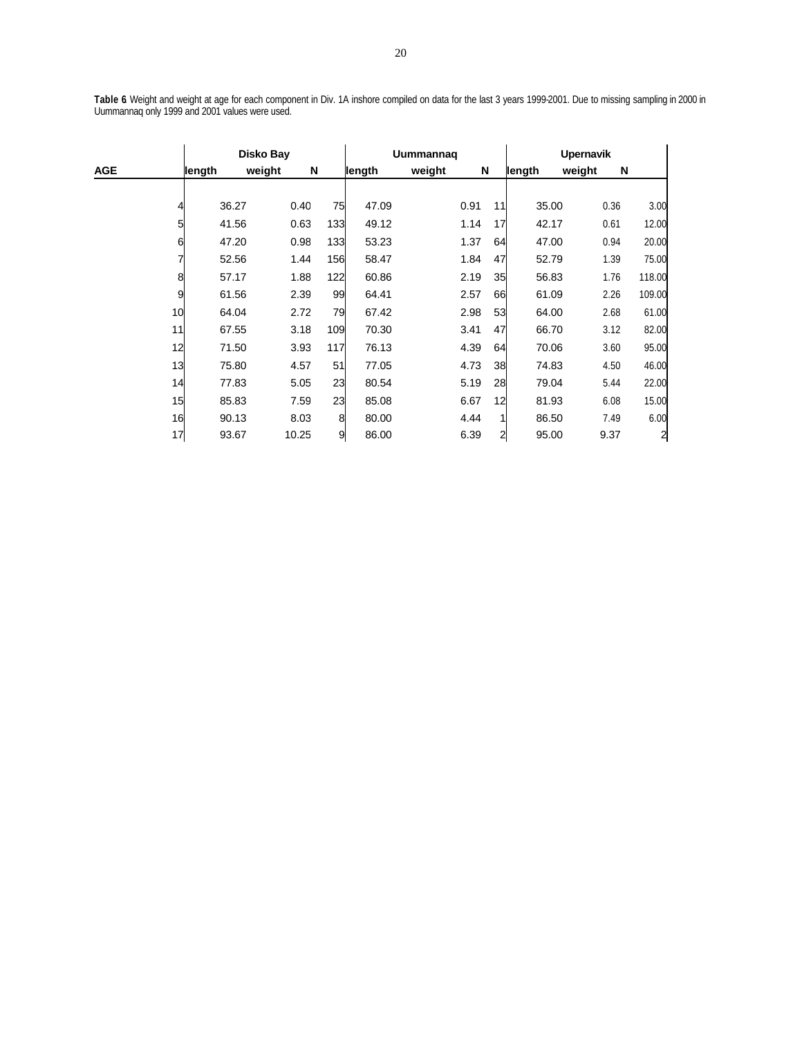**Table 6**. Weight and weight at age for each component in Div. 1A inshore compiled on data for the last 3 years 1999-2001. Due to missing sampling in 2000 in Uummannaq only 1999 and 2001 values were used.

|            |        | Disko Bay |       |                |        | Uummannaq |      |                |        | <b>Upernavik</b> |                |
|------------|--------|-----------|-------|----------------|--------|-----------|------|----------------|--------|------------------|----------------|
| <b>AGE</b> | length | weight    | N     |                | length | weight    | N    |                | length | weight           | N              |
|            |        |           |       |                |        |           |      |                |        |                  |                |
|            | 36.27  |           | 0.40  | 75             | 47.09  |           | 0.91 | 11             | 35.00  | 0.36             | 3.00           |
| 5          | 41.56  |           | 0.63  | 133            | 49.12  |           | 1.14 | 17             | 42.17  | 0.61             | 12.00          |
| 6          | 47.20  |           | 0.98  | 133            | 53.23  |           | 1.37 | 64             | 47.00  | 0.94             | 20.00          |
|            | 52.56  |           | 1.44  | 156            | 58.47  |           | 1.84 | 47             | 52.79  | 1.39             | 75.00          |
| 8          | 57.17  |           | 1.88  | 122            | 60.86  |           | 2.19 | 35             | 56.83  | 1.76             | 118.00         |
| 9          | 61.56  |           | 2.39  | 99             | 64.41  |           | 2.57 | 66             | 61.09  | 2.26             | 109.00         |
| 10         | 64.04  |           | 2.72  | 79             | 67.42  |           | 2.98 | 53             | 64.00  | 2.68             | 61.00          |
| 11         | 67.55  |           | 3.18  | 109            | 70.30  |           | 3.41 | 47             | 66.70  | 3.12             | 82.00          |
| 12         | 71.50  |           | 3.93  | 117            | 76.13  |           | 4.39 | 64             | 70.06  | 3.60             | 95.00          |
| 13         | 75.80  |           | 4.57  | 51             | 77.05  |           | 4.73 | 38             | 74.83  | 4.50             | 46.00          |
| 14         | 77.83  |           | 5.05  | 23             | 80.54  |           | 5.19 | 28             | 79.04  | 5.44             | 22.00          |
| 15         | 85.83  |           | 7.59  | 23             | 85.08  |           | 6.67 | 12             | 81.93  | 6.08             | 15.00          |
| 16         | 90.13  |           | 8.03  | 8              | 80.00  |           | 4.44 | 1              | 86.50  | 7.49             | 6.00           |
| 17         | 93.67  |           | 10.25 | $\overline{9}$ | 86.00  |           | 6.39 | $\overline{a}$ | 95.00  | 9.37             | $\overline{a}$ |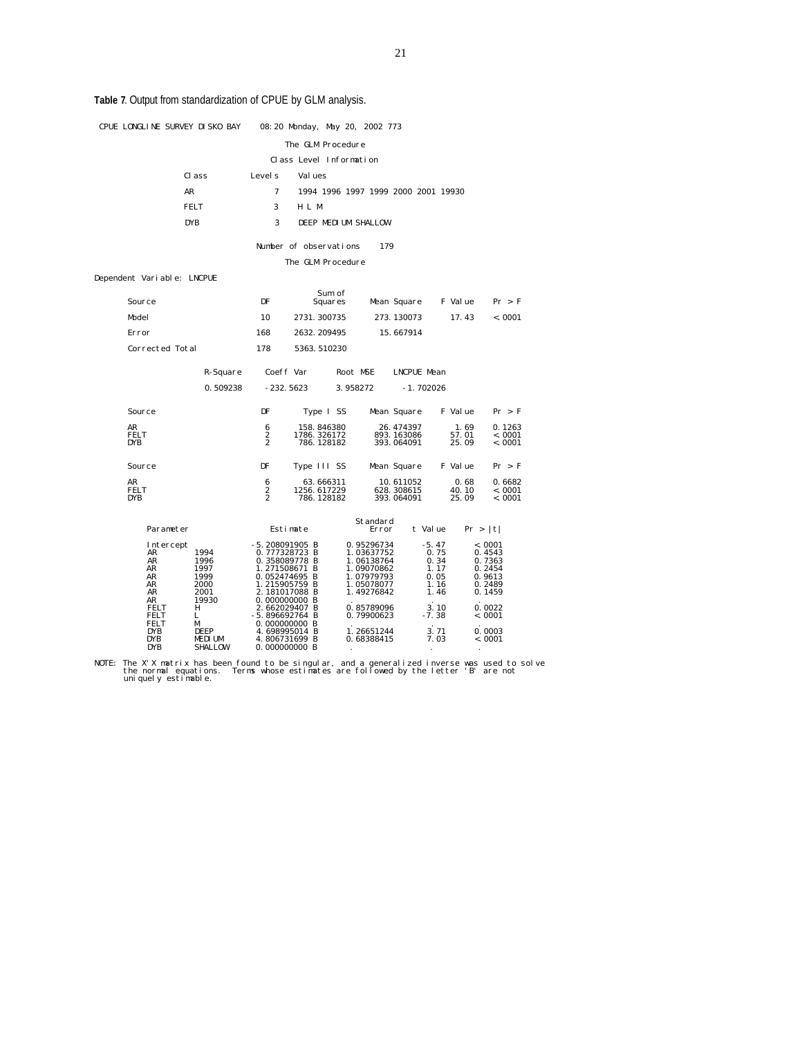**Table 7**. Output from standardization of CPUE by GLM analysis.

|                               | CPUE LONGLINE SURVEY DISKO BAY |                |                                   |                     |                           | 08:20 Monday, May 20, 2002 773      |                          |                                  |                |                     |
|-------------------------------|--------------------------------|----------------|-----------------------------------|---------------------|---------------------------|-------------------------------------|--------------------------|----------------------------------|----------------|---------------------|
| The GLM Procedure             |                                |                |                                   |                     |                           |                                     |                          |                                  |                |                     |
| Class Level Information       |                                |                |                                   |                     |                           |                                     |                          |                                  |                |                     |
|                               |                                | Cl ass         | Level s                           | Val ues             |                           |                                     |                          |                                  |                |                     |
|                               | AR<br><b>FELT</b>              |                | 7                                 |                     |                           | 1994 1996 1997 1999 2000 2001 19930 |                          |                                  |                |                     |
|                               |                                |                | 3                                 | H L M               |                           |                                     |                          |                                  |                |                     |
|                               | <b>DYB</b>                     |                | 3                                 | DEEP MEDIUM SHALLOW |                           |                                     |                          |                                  |                |                     |
| Number of observations<br>179 |                                |                |                                   |                     |                           |                                     |                          |                                  |                |                     |
|                               |                                |                |                                   |                     | The GLM Procedure         |                                     |                          |                                  |                |                     |
|                               | Dependent Variable: LNCPUE     |                |                                   |                     |                           |                                     |                          |                                  |                |                     |
|                               | Source                         |                | DF                                |                     | Sum of                    |                                     | Mean Square              |                                  | F Value        | Pr > F              |
|                               | Model                          |                | 10                                |                     | Squares<br>2731.300735    |                                     | 273.130073               |                                  | 17.43          | < .0001             |
|                               | Error                          |                | 168                               |                     | 2632.209495               |                                     | 15.667914                |                                  |                |                     |
|                               | Corrected Total                |                |                                   |                     | 5363.510230               |                                     |                          |                                  |                |                     |
|                               |                                |                | 178                               |                     |                           |                                     |                          |                                  |                |                     |
|                               |                                | R-Square       | Coeff Var                         |                     |                           | Root MSE                            | <b>LNCPUE Mean</b>       |                                  |                |                     |
|                               |                                | 0.509238       | $-232.5623$                       |                     |                           | 3.958272                            |                          | $-1.702026$                      |                |                     |
|                               | Source                         |                | DF                                |                     | Type I SS                 |                                     | Mean Square              |                                  | F Value        | Pr > F              |
|                               | AR                             |                | 6                                 |                     | 158.846380                |                                     | 26.474397                |                                  | 1.69           | 0.1263              |
|                               | <b>FELT</b><br>DYB             |                | $\boldsymbol{2}$<br>$\mathbf{2}$  |                     | 1786.326172<br>786.128182 |                                     | 893.163086<br>393.064091 |                                  | 57.01<br>25.09 | < .0001<br>$-.0001$ |
|                               |                                |                |                                   |                     |                           |                                     |                          |                                  |                |                     |
|                               | Source                         |                | DF                                |                     | Type III SS               |                                     | Mean Square              |                                  | F Value        | Pr > F              |
|                               | AR<br><b>FELT</b>              |                | 6<br>$\boldsymbol{2}$             |                     | 63.666311<br>1256.617229  |                                     | 10.611052<br>628.308615  |                                  | 0.68<br>40.10  | 0.6682<br>< .0001   |
|                               | <b>DYB</b>                     |                | $\overline{2}$                    |                     | 786.128182                |                                     | 393.064091               |                                  | 25.09          | < .0001             |
|                               | Parameter                      |                |                                   |                     |                           | Standard                            |                          |                                  |                |                     |
|                               |                                |                | Estimate                          |                     | Error                     |                                     | t Value                  |                                  | Pr >  t        |                     |
|                               | Intercept<br>AR                | 1994           | $-5.208091905$ B<br>0.777328723 B |                     |                           | 0.95296734<br>1.03637752            |                          | $-5.47$<br>0.75                  |                | $-.0001$<br>0.4543  |
|                               | AR<br>AR                       | 1996<br>1997   | 0.358089778 B<br>1.271508671 B    |                     |                           | 1.06138764<br>1.09070862            |                          | 0.34<br>1.17                     |                | 0.7363<br>0.2454    |
|                               | AR                             | 1999           | 0.052474695 B                     |                     |                           | 1.07979793                          |                          | 0.05                             |                | 0.9613              |
|                               | AR<br>2000<br>AR<br>2001       |                | 1.215905759 B<br>2.181017088 B    |                     |                           | 1.05078077<br>1.49276842            |                          | 1.16<br>0.2489<br>0.1459<br>1.46 |                |                     |
|                               | AR                             | 19930          |                                   | 0.000000000 B       |                           |                                     |                          |                                  |                |                     |
|                               | <b>FELT</b><br>FELT            | н<br>L         | 2.662029407 B<br>$-5.896692764 B$ |                     |                           | 0.85789096<br>0.79900623            |                          | 3.10<br>$-7.38$                  |                | 0.0022<br>$-.0001$  |
|                               | FELT<br><b>DYB</b>             | М<br>DEEP      | 0.000000000 B<br>4.698995014 B    |                     |                           | 1.26651244                          |                          | 3.71                             |                | 0.0003              |
|                               | DYB                            | <b>MEDIUM</b>  | 4.806731699 B                     |                     |                           | 0.68388415                          |                          | 7.03                             |                | < .0001             |
|                               | <b>DYB</b>                     | <b>SHALLOW</b> | 0.000000000 B                     |                     |                           |                                     |                          |                                  |                |                     |

NOTE: The X'X matrix has been found to be singular, and a generalized inverse was used to solve the normal equations. Terms whose estimates are followed by the letter 'B' are not uniquely estimable.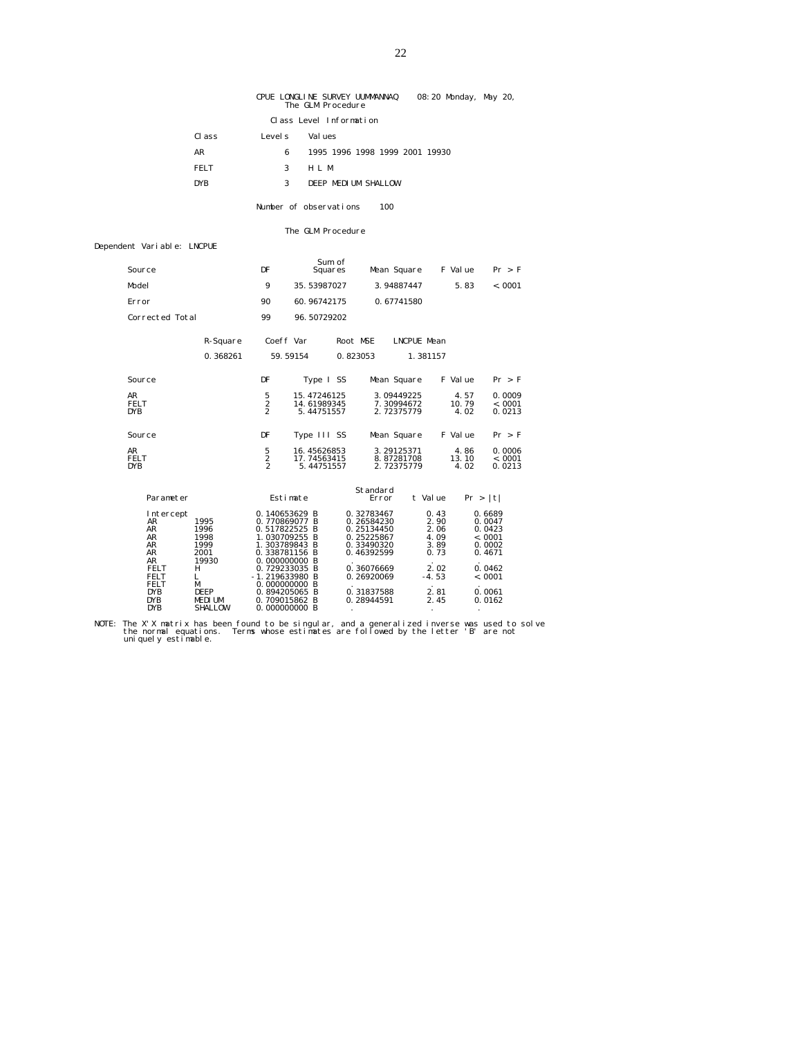CPUE LONGLINE SURVEY UUMMANNAQ 08:20 Monday, May 20, The GLM Procedure Class Level Information Class Levels Values AR 6 1995 1996 1998 1999 2001 19930

| <b>FELT</b> |   | H L M               |
|-------------|---|---------------------|
| <b>DYB</b>  | 3 | DEEP MEDIUM SHALLOW |

Number of observations 100

The GLM Procedure

Dependent Variable: LNCPUE

| R-Square<br>0.368261                 | 9<br>90<br>99<br>Coeff Var<br>59.59154<br>DF<br>5                | 35.53987027<br>60.96742175<br>96.50729202<br>Type I SS |                                                                                                                       | Root MSE<br>0.823053                                 | 3.94887447<br>0.67741580<br><b>LNCPUE Mean</b><br>1.381157                       | 5.83                         | < .0001                                                                                            |
|--------------------------------------|------------------------------------------------------------------|--------------------------------------------------------|-----------------------------------------------------------------------------------------------------------------------|------------------------------------------------------|----------------------------------------------------------------------------------|------------------------------|----------------------------------------------------------------------------------------------------|
|                                      |                                                                  |                                                        |                                                                                                                       |                                                      |                                                                                  |                              |                                                                                                    |
|                                      |                                                                  |                                                        |                                                                                                                       |                                                      |                                                                                  |                              |                                                                                                    |
|                                      |                                                                  |                                                        |                                                                                                                       |                                                      |                                                                                  |                              |                                                                                                    |
|                                      |                                                                  |                                                        |                                                                                                                       |                                                      |                                                                                  |                              |                                                                                                    |
|                                      |                                                                  |                                                        |                                                                                                                       |                                                      |                                                                                  |                              |                                                                                                    |
|                                      |                                                                  |                                                        |                                                                                                                       |                                                      | Mean Square                                                                      | F Value                      | Pr > F                                                                                             |
|                                      | $\boldsymbol{2}$<br>$\mathbf{2}$                                 | 15.47246125<br>14.61989345<br>5.44751557               |                                                                                                                       |                                                      | 3.09449225<br>7.30994672<br>2.72375779                                           | 4.57<br>10.79<br>4.02        | 0.0009<br>< .0001<br>0.0213                                                                        |
|                                      |                                                                  |                                                        |                                                                                                                       |                                                      |                                                                                  |                              |                                                                                                    |
|                                      | DF                                                               | Type III SS                                            |                                                                                                                       |                                                      | Mean Square                                                                      | F Value                      | Pr > F                                                                                             |
|                                      | $\mathbf 5$<br>$\boldsymbol{2}$<br>$\mathbf{2}$                  | 16.45626853<br>17.74563415<br>5.44751557               |                                                                                                                       |                                                      | 3.29125371<br>8.87281708<br>2.72375779                                           | 4.86<br>13.10<br>4.02        | 0.0006<br>< .0001<br>0.0213                                                                        |
|                                      | Estimate                                                         |                                                        |                                                                                                                       | <b>Standard</b><br>Error                             | t Value                                                                          |                              | Pr >  t                                                                                            |
| 1995<br>1996<br>1998<br>1999<br>2001 | 0.140653629 B<br>0.770869077 B<br>0.517822525 B<br>1.030709255 B |                                                        |                                                                                                                       | 0.32783467<br>0.26584230<br>0.25134450<br>0.25225867 |                                                                                  | 0.43<br>2.90<br>2.06<br>4.09 | 0.6689<br>0.0047<br>0.0423<br>< .0001<br>0.0002<br>0.4671<br>0.0462<br>< 0.001<br>0.0061<br>0.0162 |
|                                      | 19930                                                            | <b>DEEP</b>                                            | 1.303789843 B<br>0.338781156 B<br>0.000000000 B<br>0.729233035 B<br>$-1.219633980B$<br>0.000000000 B<br>0.894205065 B | <b>MEDIUM</b><br>0.709015862 B                       | 0.33490320<br>0.46392599<br>0.36076669<br>0.26920069<br>0.31837588<br>0.28944591 |                              | 3.89<br>0.73<br>2.02<br>$-4.53$<br>2.81<br>2.45<br><b>SHALLOW</b><br>0.000000000 B                 |

NOTE: The X'X matrix has been found to be singular, and a generalized inverse was used to solve the normal equations. Terms whose estimates are followed by the letter 'B' are not uniquely estimable.